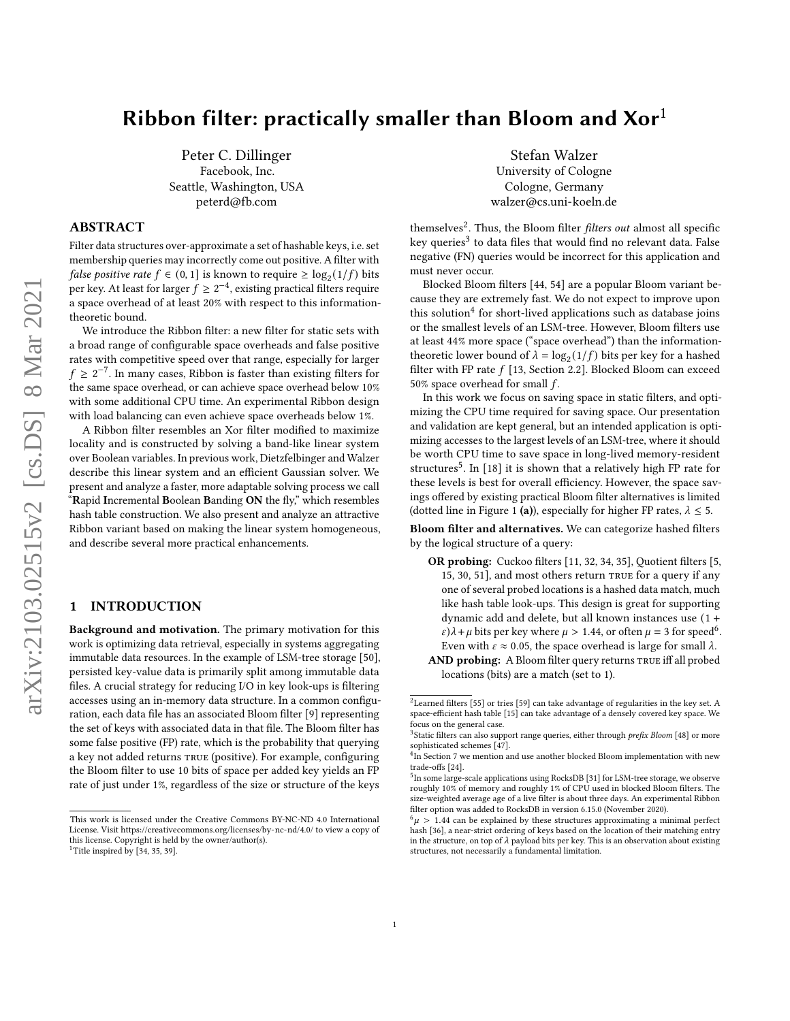# Ribbon filter: practically smaller than Bloom and  $Xor<sup>1</sup>$

Peter C. Dillinger Facebook, Inc. Seattle, Washington, USA peterd@fb.com

# ABSTRACT

Filter data structures over-approximate a set of hashable keys, i.e. set membership queries may incorrectly come out positive. A filter with *false positive rate*  $f \in (0, 1]$  is known to require  $\geq \log_2(1/f)$  bits per key. At least for larger  $f \geq 2^{-4}$ , existing practical filters require a space overhead of at least 20% with respect to this informationtheoretic bound.

We introduce the Ribbon filter: a new filter for static sets with a broad range of configurable space overheads and false positive rates with competitive speed over that range, especially for larger  $f \geq 2^{-7}$ . In many cases, Ribbon is faster than existing filters for the same space overhead, or can achieve space overhead below 10% with some additional CPU time. An experimental Ribbon design with load balancing can even achieve space overheads below 1%.

A Ribbon filter resembles an Xor filter modified to maximize locality and is constructed by solving a band-like linear system over Boolean variables. In previous work, Dietzfelbinger and Walzer describe this linear system and an efficient Gaussian solver. We present and analyze a faster, more adaptable solving process we call "Rapid Incremental Boolean Banding ON the fly," which resembles hash table construction. We also present and analyze an attractive Ribbon variant based on making the linear system homogeneous, and describe several more practical enhancements.

# <span id="page-0-5"></span>1 INTRODUCTION

Background and motivation. The primary motivation for this work is optimizing data retrieval, especially in systems aggregating immutable data resources. In the example of LSM-tree storage [\[50\]](#page-13-0), persisted key-value data is primarily split among immutable data files. A crucial strategy for reducing I/O in key look-ups is filtering accesses using an in-memory data structure. In a common configuration, each data file has an associated Bloom filter [\[9\]](#page-12-0) representing the set of keys with associated data in that file. The Bloom filter has some false positive (FP) rate, which is the probability that querying a key not added returns true (positive). For example, configuring the Bloom filter to use 10 bits of space per added key yields an FP rate of just under 1%, regardless of the size or structure of the keys

Stefan Walzer University of Cologne Cologne, Germany walzer@cs.uni-koeln.de

themselves<sup>[2](#page-0-0)</sup>. Thus, the Bloom filter *filters out* almost all specific key queries<sup>[3](#page-0-1)</sup> to data files that would find no relevant data. False negative (FN) queries would be incorrect for this application and must never occur.

Blocked Bloom filters [\[44,](#page-12-4) [54\]](#page-13-1) are a popular Bloom variant because they are extremely fast. We do not expect to improve upon this solution<sup>[4](#page-0-2)</sup> for short-lived applications such as database joins or the smallest levels of an LSM-tree. However, Bloom filters use at least 44% more space ("space overhead") than the informationtheoretic lower bound of  $\lambda = \log_2(1/f)$  bits per key for a hashed filter with FP rate  $f$  [\[13,](#page-12-5) Section 2.2]. Blocked Bloom can exceed 50% space overhead for small  $f$ .

In this work we focus on saving space in static filters, and optimizing the CPU time required for saving space. Our presentation and validation are kept general, but an intended application is optimizing accesses to the largest levels of an LSM-tree, where it should be worth CPU time to save space in long-lived memory-resident structures<sup>[5](#page-0-3)</sup>. In [\[18\]](#page-12-6) it is shown that a relatively high FP rate for these levels is best for overall efficiency. However, the space savings offered by existing practical Bloom filter alternatives is limited (dotted line in Figure [1](#page-1-0) (a)), especially for higher FP rates,  $\lambda \leq 5$ .

Bloom filter and alternatives. We can categorize hashed filters by the logical structure of a query:

- OR probing: Cuckoo filters [\[11,](#page-12-7) [32,](#page-12-8) [34,](#page-12-1) [35\]](#page-12-2), Quotient filters [\[5,](#page-12-9) [15,](#page-12-10) [30,](#page-12-11) [51\]](#page-13-2), and most others return true for a query if any one of several probed locations is a hashed data match, much like hash table look-ups. This design is great for supporting dynamic add and delete, but all known instances use (1 +  $\varepsilon$ ) $\lambda$  +  $\mu$  bits per key where  $\mu$  > 1.44, or often  $\mu$  = 3 for speed<sup>[6](#page-0-4)</sup>. Even with  $\varepsilon \approx 0.05$ , the space overhead is large for small  $\lambda$ .
- AND probing: A Bloom filter query returns TRUE iff all probed locations (bits) are a match (set to 1).

This work is licensed under the Creative Commons BY-NC-ND 4.0 International License. Visit<https://creativecommons.org/licenses/by-nc-nd/4.0/> to view a copy of this license. Copyright is held by the owner/author(s). <sup>1</sup>Title inspired by  $[34, 35, 39]$  $[34, 35, 39]$  $[34, 35, 39]$ .

<span id="page-0-0"></span> $^2$  Learned filters [\[55\]](#page-13-3) or tries [\[59\]](#page-13-4) can take advantage of regularities in the key set. A space-efficient hash table [\[15\]](#page-12-10) can take advantage of a densely covered key space. We focus on the general case.

<span id="page-0-1"></span><sup>&</sup>lt;sup>3</sup>Static filters can also support range queries, either through prefix Bloom [\[48\]](#page-13-5) or more sophisticated schemes [\[47\]](#page-12-12).

<span id="page-0-2"></span><sup>&</sup>lt;sup>4</sup>In Section [7](#page-10-0) we mention and use another blocked Bloom implementation with new trade-offs [\[24\]](#page-12-13).

<span id="page-0-3"></span><sup>5</sup> In some large-scale applications using RocksDB [\[31\]](#page-12-14) for LSM-tree storage, we observe roughly 10% of memory and roughly 1% of CPU used in blocked Bloom filters. The size-weighted average age of a live filter is about three days. An experimental Ribbon filter option was added to RocksDB in version 6.15.0 (November 2020).

<span id="page-0-4"></span> $^{6}\mu$  > 1.44 can be explained by these structures approximating a minimal perfect hash [\[36\]](#page-12-15), a near-strict ordering of keys based on the location of their matching entry in the structure, on top of  $\lambda$  payload bits per key. This is an observation about existing structures, not necessarily a fundamental limitation.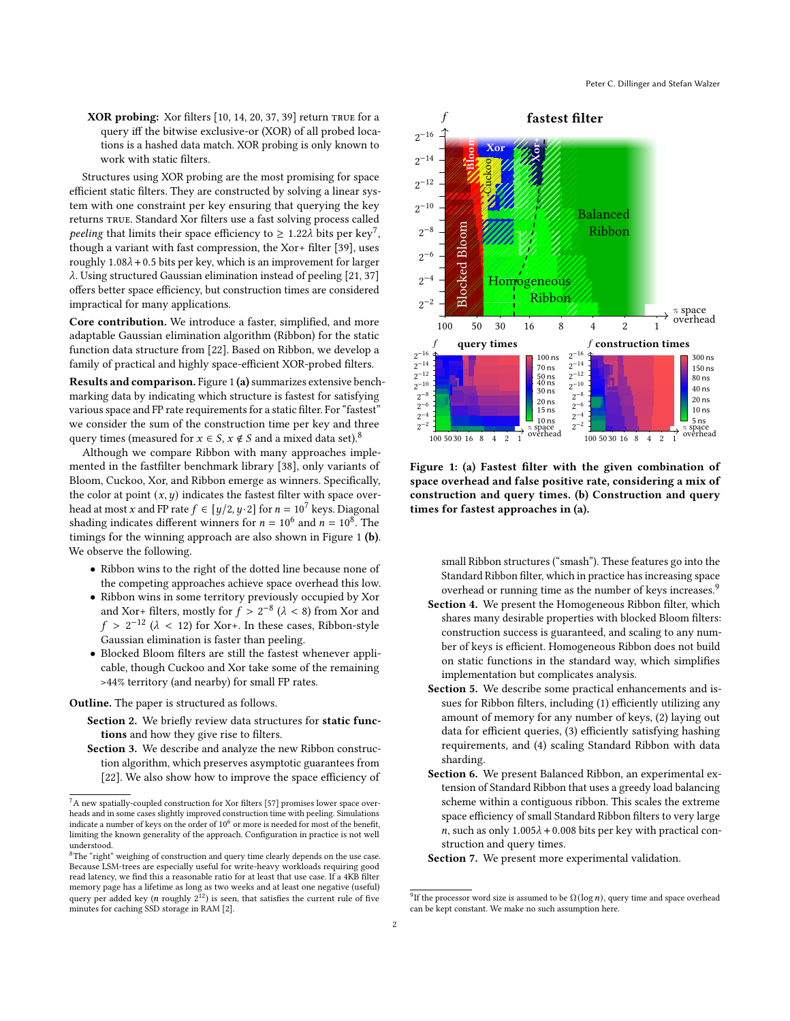<span id="page-1-0"></span>XOR probing: Xor filters [\[10,](#page-12-16) [14,](#page-12-17) [20,](#page-12-18) [37,](#page-12-19) [39\]](#page-12-3) return true for a query iff the bitwise exclusive-or (XOR) of all probed locations is a hashed data match. XOR probing is only known to work with static filters.

Structures using XOR probing are the most promising for space efficient static filters. They are constructed by solving a linear system with one constraint per key ensuring that querying the key returns true. Standard Xor filters use a fast solving process called *peeling* that limits their space efficiency to  $\geq 1.22\lambda$  bits per key<sup>[7](#page-1-1)</sup>, though a variant with fast compression, the Xor+ filter [\[39\]](#page-12-3), uses roughly  $1.08\lambda + 0.5$  bits per key, which is an improvement for larger  $\lambda$ . Using structured Gaussian elimination instead of peeling [\[21,](#page-12-20) [37\]](#page-12-19) offers better space efficiency, but construction times are considered impractical for many applications.

Core contribution. We introduce a faster, simplified, and more adaptable Gaussian elimination algorithm (Ribbon) for the static function data structure from [\[22\]](#page-12-21). Based on Ribbon, we develop a family of practical and highly space-efficient XOR-probed filters.

Results and comparison. Figure [1](#page-1-0) (a) summarizes extensive benchmarking data by indicating which structure is fastest for satisfying various space and FP rate requirements for a static filter. For "fastest" we consider the sum of the construction time per key and three query times (measured for  $x \in S$ ,  $x \notin S$  and a mixed data set).<sup>[8](#page-1-2)</sup>

Although we compare Ribbon with many approaches implemented in the fastfilter benchmark library [\[38\]](#page-12-22), only variants of Bloom, Cuckoo, Xor, and Ribbon emerge as winners. Specifically, the color at point  $(x, y)$  indicates the fastest filter with space overhead at most x and FP rate  $f \in [y/2, y/2]$  for  $n = 10^7$  keys. Diagonal shading indicates different winners for  $n = 10^6$  and  $n = 10^8$ . The timings for the winning approach are also shown in Figure [1](#page-1-0) (b). We observe the following.

- Ribbon wins to the right of the dotted line because none of the competing approaches achieve space overhead this low.
- Ribbon wins in some territory previously occupied by Xor and Xor+ filters, mostly for  $f > 2^{-8}$  ( $\lambda < 8$ ) from Xor and  $f > 2^{-12}$  ( $\lambda < 12$ ) for Xor+. In these cases, Ribbon-style Gaussian elimination is faster than peeling.
- Blocked Bloom filters are still the fastest whenever applicable, though Cuckoo and Xor take some of the remaining >44% territory (and nearby) for small FP rates.

Outline. The paper is structured as follows.

- Section 2. We briefly review data structures for static functions and how they give rise to filters.
- Section 3. We describe and analyze the new Ribbon construction algorithm, which preserves asymptotic guarantees from [\[22\]](#page-12-21). We also show how to improve the space efficiency of



Figure 1: (a) Fastest filter with the given combination of space overhead and false positive rate, considering a mix of construction and query times. (b) Construction and query times for fastest approaches in (a).

small Ribbon structures ("smash"). These features go into the Standard Ribbon filter, which in practice has increasing space overhead or running time as the number of keys increases.<sup>[9](#page-1-3)</sup>

- Section 4. We present the Homogeneous Ribbon filter, which shares many desirable properties with blocked Bloom filters: construction success is guaranteed, and scaling to any number of keys is efficient. Homogeneous Ribbon does not build on static functions in the standard way, which simplifies implementation but complicates analysis.
- Section 5. We describe some practical enhancements and issues for Ribbon filters, including (1) efficiently utilizing any amount of memory for any number of keys, (2) laying out data for efficient queries, (3) efficiently satisfying hashing requirements, and (4) scaling Standard Ribbon with data sharding.
- Section 6. We present Balanced Ribbon, an experimental extension of Standard Ribbon that uses a greedy load balancing scheme within a contiguous ribbon. This scales the extreme space efficiency of small Standard Ribbon filters to very large n, such as only  $1.005\lambda + 0.008$  bits per key with practical construction and query times.

Section 7. We present more experimental validation.

<span id="page-1-1"></span><sup>7</sup>A new spatially-coupled construction for Xor filters [\[57\]](#page-13-6) promises lower space overheads and in some cases slightly improved construction time with peeling. Simulations indicate a number of keys on the order of  $10^6$  or more is needed for most of the benefit, limiting the known generality of the approach. Configuration in practice is not well understood.<br><sup>8</sup>The "right" weighing of construction and query time clearly depends on the use case.

<span id="page-1-2"></span>Because LSM-trees are especially useful for write-heavy workloads requiring good read latency, we find this a reasonable ratio for at least that use case. If a 4KB filter memory page has a lifetime as long as two weeks and at least one negative (useful) query per added key (*n* roughly  $2^{12}$ ) is seen, that satisfies the current rule of five

<span id="page-1-3"></span> $^{9}$  If the processor word size is assumed to be  $\Omega(\log n),$  query time and space overhead can be kept constant. We make no such assumption here.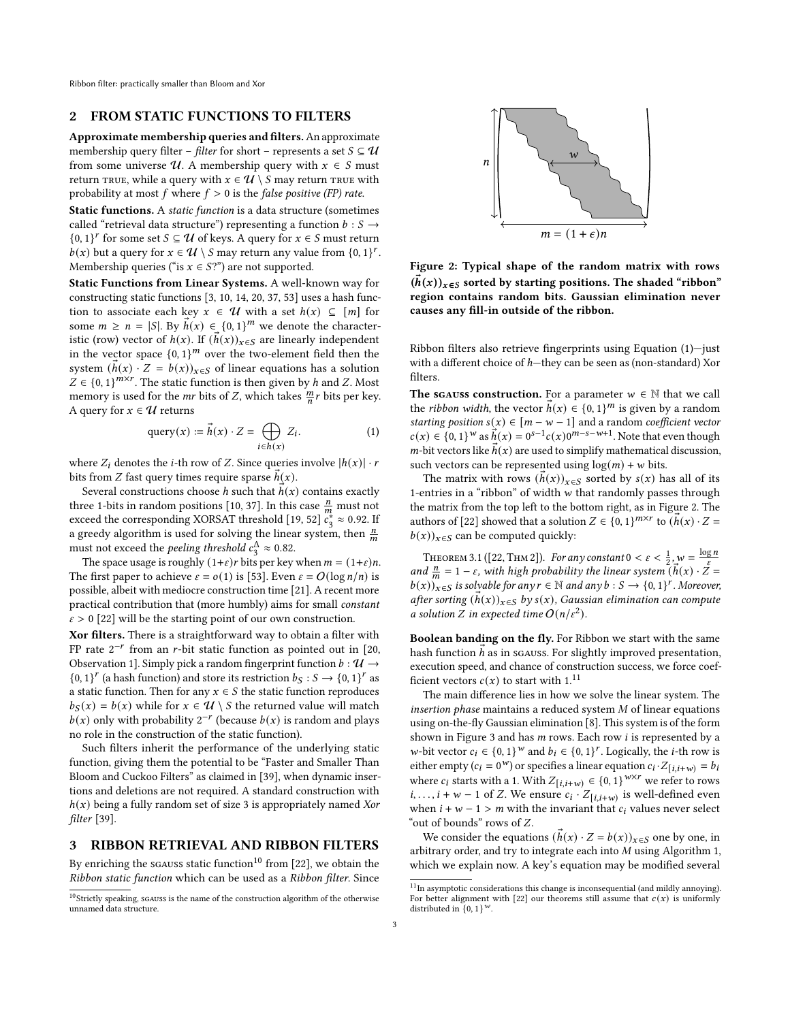Ribbon filter: practically smaller than Bloom and Xor

## 2 FROM STATIC FUNCTIONS TO FILTERS

Approximate membership queries and filters.An approximate membership query filter – *filter* for short – represents a set  $S \subseteq U$ from some universe  $U$ . A membership query with  $x \in S$  must return TRUE, while a query with  $x \in \mathcal{U} \setminus S$  may return TRUE with probability at most  $f$  where  $f > 0$  is the *false positive (FP) rate.* 

Static functions. A static function is a data structure (sometimes called "retrieval data structure") representing a function  $b : S \rightarrow$  $\{0, 1\}^r$  for some set  $S \subseteq U$  of keys. A query for  $x \in S$  must return  $b(x)$  but a query for  $x \in \mathcal{U} \setminus S$  may return any value from  $\{0, 1\}^r$ . Membership queries ("is  $x \in S$ ?") are not supported.

Static Functions from Linear Systems. A well-known way for constructing static functions [\[3,](#page-12-24) [10,](#page-12-16) [14,](#page-12-17) [20,](#page-12-18) [37,](#page-12-19) [53\]](#page-13-7) uses a hash function to associate each key  $x \in \mathcal{U}$  with a set  $h(x) \subseteq [m]$  for some  $m \ge n = |S|$ . By  $\vec{h}(x) \in (0, 1)^m$  we denote the characteristic (row) vector of  $h(x)$ . If  $(h(x))_{x \in S}$  are linearly independent in the vector space  $\{0, 1\}^m$  over the two-element field then the system  $(h(x) \cdot Z = b(x))_{x \in S}$  of linear equations has a solution  $Z \in \{0, 1\}^{m \times r}$ . The static function is then given by h and Z. Most memory is used for the mr bits of Z, which takes  $\frac{m}{n}r$  bits per key. A query for  $x \in U$  returns

<span id="page-2-1"></span>
$$
\text{query}(x) := \vec{h}(x) \cdot Z = \bigoplus_{i \in h(x)} Z_i. \tag{1}
$$

where  $Z_i$  denotes the *i*-th row of Z. Since queries involve  $|h(x)| \cdot r$ bits from *Z* fast query times require sparse  $h(x)$ .

Several constructions choose  $h$  such that  $h(x)$  contains exactly three 1-bits in random positions [\[10,](#page-12-16) [37\]](#page-12-19). In this case  $\frac{n}{m}$  must not exceed the corresponding XORSAT threshold [\[19,](#page-12-25) [52\]](#page-13-8)  $c_3^* \approx 0.92$ . If a greedy algorithm is used for solving the linear system, then  $\frac{n}{m}$ must not exceed the *peeling threshold*  $c_3^{\Delta} \approx 0.82$ .

The space usage is roughly  $(1+\varepsilon)r$  bits per key when  $m = (1+\varepsilon)n$ . The first paper to achieve  $\varepsilon = o(1)$  is [\[53\]](#page-13-7). Even  $\varepsilon = O(\log n/n)$  is possible, albeit with mediocre construction time [\[21\]](#page-12-20). A recent more practical contribution that (more humbly) aims for small constant  $\varepsilon > 0$  [\[22\]](#page-12-21) will be the starting point of our own construction.

Xor filters. There is a straightforward way to obtain a filter with FP rate  $2^{-r}$  from an r-bit static function as pointed out in [\[20,](#page-12-18) Observation 1]. Simply pick a random fingerprint function  $b : \mathcal{U} \rightarrow$  $\{0,1\}^r$  (a hash function) and store its restriction  $b_S : S \to \{0,1\}^r$  as a static function. Then for any  $x \in S$  the static function reproduces  $b_S(x) = b(x)$  while for  $x \in U \setminus S$  the returned value will match  $b(x)$  only with probability  $2^{-r}$  (because  $b(x)$  is random and plays no role in the construction of the static function).

Such filters inherit the performance of the underlying static function, giving them the potential to be "Faster and Smaller Than Bloom and Cuckoo Filters" as claimed in [\[39\]](#page-12-3), when dynamic insertions and deletions are not required. A standard construction with  $h(x)$  being a fully random set of size 3 is appropriately named Xor filter [\[39\]](#page-12-3).

#### 3 RIBBON RETRIEVAL AND RIBBON FILTERS

By enriching the sgauss static function<sup>[10](#page-2-0)</sup> from [\[22\]](#page-12-21), we obtain the Ribbon static function which can be used as a Ribbon filter. Since

<span id="page-2-2"></span>

Figure 2: Typical shape of the random matrix with rows  $(\bar{h}(x))_{x\in S}$  sorted by starting positions. The shaded "ribbon" region contains random bits. Gaussian elimination never causes any fill-in outside of the ribbon.

Ribbon filters also retrieve fingerprints using Equation [\(1\)](#page-2-1)—just with a different choice of  $h$ —they can be seen as (non-standard) Xor filters.

The sgauss construction. For a parameter  $w \in \mathbb{N}$  that we call the *ribbon width*, the vector  $\vec{h}(x) \in \{0, 1\}^m$  is given by a random starting position  $s(x) \in [m - w - 1]$  and a random coefficient vector  $c(x) \in \{0, 1\}^{w}$  as  $\vec{h}(x) = 0^{s-1} c(x) 0^{m-s-w+1}$ . Note that even though  $m$ -bit vectors like  $h(x)$  are used to simplify mathematical discussion, such vectors can be represented using  $log(m) + w$  bits.

The matrix with rows  $(h(x))_{x \in S}$  sorted by  $s(x)$  has all of its 1-entries in a "ribbon" of width  $w$  that randomly passes through the matrix from the top left to the bottom right, as in Figure [2.](#page-2-2) The authors of [\[22\]](#page-12-21) showed that a solution  $Z \in \{0, 1\}^{m \times r}$  to  $(\vec{h}(x) \cdot Z =$  $(b(x))_{x \in S}$  can be computed quickly:

THEOREM 3.1 ([\[22,](#page-12-21) THM 2]). For any constant  $0 < \varepsilon < \frac{1}{2}, w = \frac{\log n}{\varepsilon}$ and  $\frac{n}{m} = 1 - \varepsilon$ , with high probability the linear system  $(\vec{h}(x) \cdot \vec{Z}) =$  $(b(x))_{x\in S}$  is solvable for any  $r \in \mathbb{N}$  and any  $b : S \to \{0,1\}^r$ . Moreover, after sorting  $(h(x))_{x\in S}$  by  $s(x)$ , Gaussian elimination can compute a solution Z in expected time  $O(n/\varepsilon^2)$ .

Boolean banding on the fly. For Ribbon we start with the same hash function  $h$  as in sgauss. For slightly improved presentation, execution speed, and chance of construction success, we force coefficient vectors  $c(x)$  to start with 1.<sup>[11](#page-2-3)</sup>

The main difference lies in how we solve the linear system. The insertion phase maintains a reduced system  $M$  of linear equations using on-the-fly Gaussian elimination [\[8\]](#page-12-26). This system is of the form shown in Figure [3](#page-3-0) and has  $m$  rows. Each row  $i$  is represented by a *w*-bit vector  $c_i \in \{0, 1\}^w$  and  $b_i \in \{0, 1\}^r$ . Logically, the *i*-th row is either empty ( $c_i = 0^w$ ) or specifies a linear equation  $c_i \cdot Z_{[i,i+w)} = b_i$ where  $c_i$  starts with a 1. With  $Z_{[i,i+w]} \in \{0,1\}^{w \times r}$  we refer to rows *i*, ..., *i* + *w* - 1 of *Z*. We ensure  $c_i \cdot Z_{[i,i+w)}$  is well-defined even when  $i + w - 1 > m$  with the invariant that  $c_i$  values never select "out of bounds" rows of  $Z$ .

We consider the equations  $(h(x) \cdot Z = b(x))_{x \in S}$  one by one, in arbitrary order, and try to integrate each into  $M$  using Algorithm [1,](#page-3-1) which we explain now. A key's equation may be modified several

<span id="page-2-0"></span> $10$ Strictly speaking, sgauss is the name of the construction algorithm of the otherwise unnamed data structure.

<span id="page-2-3"></span><sup>&</sup>lt;sup>11</sup>In asymptotic considerations this change is inconsequential (and mildly annoying). For better alignment with [\[22\]](#page-12-21) our theorems still assume that  $c(x)$  is uniformly distributed in  $\{0, 1\}^w$ .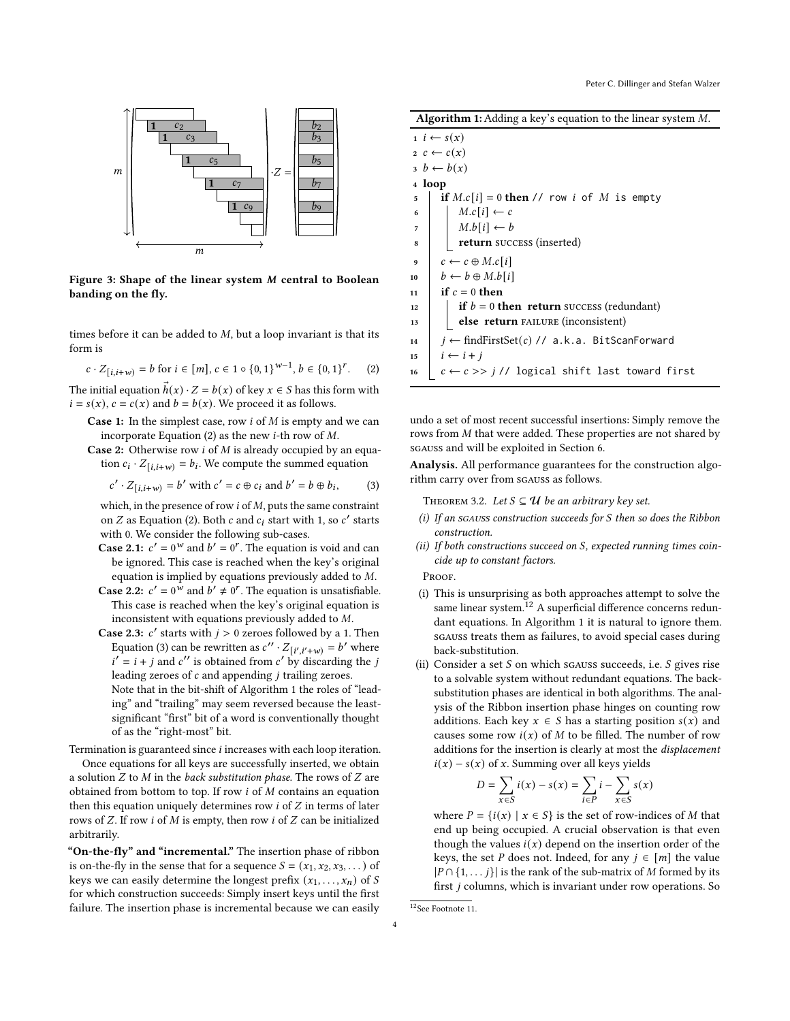<span id="page-3-0"></span>

Figure 3: Shape of the linear system M central to Boolean banding on the fly.

times before it can be added to  $M$ , but a loop invariant is that its form is

<span id="page-3-2"></span>
$$
c \cdot Z_{[i,i+w)} = b \text{ for } i \in [m], c \in 1 \circ \{0,1\}^{w-1}, b \in \{0,1\}^r. \tag{2}
$$

The initial equation  $\vec{h}(x) \cdot Z = b(x)$  of key  $x \in S$  has this form with  $i = s(x)$ ,  $c = c(x)$  and  $b = b(x)$ . We proceed it as follows.

- **Case 1:** In the simplest case, row  $i$  of  $M$  is empty and we can incorporate Equation [\(2\)](#page-3-2) as the new *i*-th row of  $M$ .
- Case 2: Otherwise row  $i$  of  $M$  is already occupied by an equation  $c_i \cdot Z_{[i,i+w)} = b_i$ . We compute the summed equation

<span id="page-3-3"></span>
$$
c' \cdot Z_{[i,i+w)} = b' \text{ with } c' = c \oplus c_i \text{ and } b' = b \oplus b_i,
$$
 (3)

- which, in the presence of row  $i$  of  $M$ , puts the same constraint on  $Z$  as Equation [\(2\)](#page-3-2). Both  $c$  and  $c_i$  start with 1, so  $c'$  starts with 0. We consider the following sub-cases.
- **Case 2.1:**  $c' = 0^w$  and  $b' = 0^r$ . The equation is void and can be ignored. This case is reached when the key's original equation is implied by equations previously added to  $M$ .
- **Case 2.2:**  $c' = 0^w$  and  $b' \neq 0^r$ . The equation is unsatisfiable. This case is reached when the key's original equation is inconsistent with equations previously added to  $M$ .
- **Case 2.3:**  $c'$  starts with  $j > 0$  zeroes followed by a 1. Then Equation [\(3\)](#page-3-3) can be rewritten as  $c'' \cdot Z_{[i',i'+w)} = b'$  where  $i' = i + j$  and  $c''$  is obtained from  $c'$  by discarding the j leading zeroes of  $c$  and appending  $j$  trailing zeroes. Note that in the bit-shift of Algorithm [1](#page-3-1) the roles of "lead-

ing" and "trailing" may seem reversed because the leastsignificant "first" bit of a word is conventionally thought of as the "right-most" bit.

Termination is guaranteed since  $i$  increases with each loop iteration.

Once equations for all keys are successfully inserted, we obtain a solution  $Z$  to  $M$  in the back substitution phase. The rows of  $Z$  are obtained from bottom to top. If row  $i$  of  $M$  contains an equation then this equation uniquely determines row  $i$  of  $Z$  in terms of later rows of  $Z$ . If row  $i$  of  $M$  is empty, then row  $i$  of  $Z$  can be initialized arbitrarily.

"On-the-fly" and "incremental." The insertion phase of ribbon is on-the-fly in the sense that for a sequence  $S = (x_1, x_2, x_3, ...)$  of keys we can easily determine the longest prefix  $(x_1, \ldots, x_n)$  of S for which construction succeeds: Simply insert keys until the first failure. The insertion phase is incremental because we can easily

Algorithm 1: Adding a key's equation to the linear system  $M$ .

|                  | $i \leftarrow s(x)$                                               |
|------------------|-------------------------------------------------------------------|
|                  | $2\ c \leftarrow c(x)$                                            |
|                  | $b \leftarrow b(x)$                                               |
|                  | 4 loop                                                            |
| 5                | if $M.c[i] = 0$ then // row <i>i</i> of M is empty                |
| 6                | $M.c[i] \leftarrow c$                                             |
| $\overline{7}$   | $M.b[i] \leftarrow b$                                             |
| 8                | return success (inserted)                                         |
| $\boldsymbol{9}$ | $c \leftarrow c \oplus M.c[i]$                                    |
| 10               | $b \leftarrow b \oplus M.b[i]$                                    |
| 11               | if $c = 0$ then                                                   |
| 12               | if $b = 0$ then return success (redundant)                        |
| 13               | else return FAILURE (inconsistent)                                |
| 14               | $i \leftarrow$ find First Set(c) // a.k.a. Bit Scan Forward       |
| 15               | $i \leftarrow i + j$                                              |
| 16               | $c \leftarrow c \rightarrow j$ // logical shift last toward first |
|                  |                                                                   |

<span id="page-3-1"></span>undo a set of most recent successful insertions: Simply remove the rows from  $M$  that were added. These properties are not shared by sgauss and will be exploited in Section [6.](#page-9-0)

Analysis. All performance guarantees for the construction algorithm carry over from sgauss as follows.

THEOREM 3.2. Let  $S \subseteq U$  be an arbitrary key set.

- (i) If an sGAUSS construction succeeds for  $S$  then so does the Ribbon construction.
- (ii) If both constructions succeed on  $S$ , expected running times coincide up to constant factors.

**PROOF.** 

- (i) This is unsurprising as both approaches attempt to solve the same linear system. $^{12}$  $^{12}$  $^{12}$  A superficial difference concerns redundant equations. In Algorithm [1](#page-3-1) it is natural to ignore them. sgauss treats them as failures, to avoid special cases during back-substitution.
- (ii) Consider a set  $S$  on which sgauss succeeds, i.e.  $S$  gives rise to a solvable system without redundant equations. The backsubstitution phases are identical in both algorithms. The analysis of the Ribbon insertion phase hinges on counting row additions. Each key  $x \in S$  has a starting position  $s(x)$  and causes some row  $i(x)$  of M to be filled. The number of row additions for the insertion is clearly at most the displacement  $i(x) - s(x)$  of x. Summing over all keys yields

$$
D = \sum_{x \in S} i(x) - s(x) = \sum_{i \in P} i - \sum_{x \in S} s(x)
$$

where  $P = \{i(x) | x \in S\}$  is the set of row-indices of M that end up being occupied. A crucial observation is that even though the values  $i(x)$  depend on the insertion order of the keys, the set *P* does not. Indeed, for any  $j \in [m]$  the value  $|P \cap \{1, \ldots j\}|$  is the rank of the sub-matrix of M formed by its first  $j$  columns, which is invariant under row operations. So

```
12See Footnote 11.
```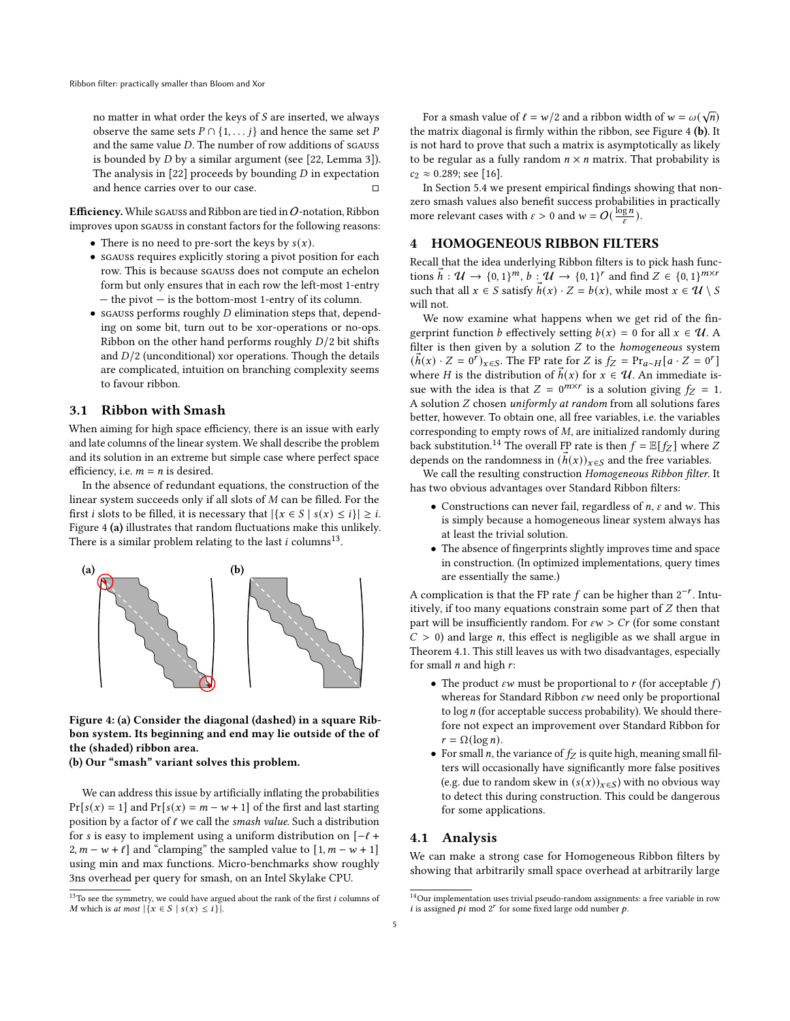no matter in what order the keys of  $S$  are inserted, we always observe the same sets  $P \cap \{1, \ldots j\}$  and hence the same set P and the same value  $D$ . The number of row additions of sgauss is bounded by  $D$  by a similar argument (see [\[22,](#page-12-21) Lemma 3]). The analysis in [\[22\]](#page-12-21) proceeds by bounding  $D$  in expectation and hence carries over to our case.

Efficiency. While sgauss and Ribbon are tied in  $O$ -notation, Ribbon improves upon sgauss in constant factors for the following reasons:

- There is no need to pre-sort the keys by  $s(x)$ .
- sgauss requires explicitly storing a pivot position for each row. This is because sgauss does not compute an echelon form but only ensures that in each row the left-most 1-entry — the pivot — is the bottom-most 1-entry of its column.
- sgauss performs roughly  $D$  elimination steps that, depending on some bit, turn out to be xor-operations or no-ops. Ribbon on the other hand performs roughly  $D/2$  bit shifts and  $D/2$  (unconditional) xor operations. Though the details are complicated, intuition on branching complexity seems to favour ribbon.

#### <span id="page-4-3"></span>3.1 Ribbon with Smash

When aiming for high space efficiency, there is an issue with early and late columns of the linear system. We shall describe the problem and its solution in an extreme but simple case where perfect space efficiency, i.e.  $m = n$  is desired.

In the absence of redundant equations, the construction of the linear system succeeds only if all slots of  $M$  can be filled. For the first *i* slots to be filled, it is necessary that  $|\{x \in S \mid s(x) \leq i\}| \geq i$ . Figure [4](#page-4-0) (a) illustrates that random fluctuations make this unlikely. There is a similar problem relating to the last  $i$  columns<sup>[13](#page-4-1)</sup>.

<span id="page-4-0"></span>

Figure 4: (a) Consider the diagonal (dashed) in a square Ribbon system. Its beginning and end may lie outside of the of the (shaded) ribbon area.

(b) Our "smash" variant solves this problem.

We can address this issue by artificially inflating the probabilities  $Pr[s(x) = 1]$  and  $Pr[s(x) = m - w + 1]$  of the first and last starting position by a factor of  $\ell$  we call the smash value. Such a distribution for *s* is easy to implement using a uniform distribution on  $[-l +]$ 2,  $m - w + \ell$  and "clamping" the sampled value to  $[1, m - w + 1]$ using min and max functions. Micro-benchmarks show roughly 3ns overhead per query for smash, on an Intel Skylake CPU.

For a smash value of  $\ell = w/2$  and a ribbon width of  $w = \omega(\sqrt{n})$ the matrix diagonal is firmly within the ribbon, see Figure [4](#page-4-0) (b). It is not hard to prove that such a matrix is asymptotically as likely to be regular as a fully random  $n \times n$  matrix. That probability is  $c_2 \approx 0.289$ ; see [\[16\]](#page-12-27).

In Section [5.4](#page-8-0) we present empirical findings showing that nonzero smash values also benefit success probabilities in practically more relevant cases with  $\varepsilon > 0$  and  $w = O(\frac{\log n}{\varepsilon})$ .

# 4 HOMOGENEOUS RIBBON FILTERS

Recall that the idea underlying Ribbon filters is to pick hash functions  $\vec{h}: \mathcal{U} \to \{0, 1\}^m$ ,  $\vec{b}: \mathcal{U} \to \{0, 1\}^r$  and find  $Z \in \{0, 1\}^{m \times r}$ such that all  $x \in S$  satisfy  $\vec{h}(x) \cdot Z = b(x)$ , while most  $x \in \mathcal{U} \setminus S$ will not.

We now examine what happens when we get rid of the fingerprint function *b* effectively setting  $b(x) = 0$  for all  $x \in \mathcal{U}$ . A filter is then given by a solution  $Z$  to the homogeneous system  $(\vec{h}(x) \cdot Z = 0^r)_{x \in S}$ . The FP rate for Z is  $f_Z = \Pr_{a \sim H}[a \cdot Z = 0^r]$ where *H* is the distribution of  $\vec{h}(x)$  for  $x \in \mathcal{U}$ . An immediate issue with the idea is that  $Z = 0^{m \times r}$  is a solution giving  $f_Z = 1$ . A solution  $Z$  chosen uniformly at random from all solutions fares better, however. To obtain one, all free variables, i.e. the variables corresponding to empty rows of  $M$ , are initialized randomly during back substitution.<sup>[14](#page-4-2)</sup> The overall FP rate is then  $f = \mathbb{E}[f_Z]$  where Z depends on the randomness in  $(h(x))_{x \in S}$  and the free variables.

We call the resulting construction Homogeneous Ribbon filter. It has two obvious advantages over Standard Ribbon filters:

- Constructions can never fail, regardless of  $n$ ,  $\varepsilon$  and  $w$ . This is simply because a homogeneous linear system always has at least the trivial solution.
- The absence of fingerprints slightly improves time and space in construction. (In optimized implementations, query times are essentially the same.)

A complication is that the FP rate  $f$  can be higher than  $2^{-r}$ . Intuitively, if too many equations constrain some part of  $Z$  then that part will be insufficiently random. For  $\epsilon w > Cr$  (for some constant  $C > 0$ ) and large *n*, this effect is negligible as we shall argue in Theorem [4.1.](#page-5-0) This still leaves us with two disadvantages, especially for small  $n$  and high  $r$ :

- The product  $\epsilon w$  must be proportional to  $r$  (for acceptable  $f$ ) whereas for Standard Ribbon  $\epsilon w$  need only be proportional to  $\log n$  (for acceptable success probability). We should therefore not expect an improvement over Standard Ribbon for  $r = \Omega(\log n)$ .
- For small *n*, the variance of  $f_Z$  is quite high, meaning small filters will occasionally have significantly more false positives (e.g. due to random skew in  $(s(x))_{x \in S}$ ) with no obvious way to detect this during construction. This could be dangerous for some applications.

#### 4.1 Analysis

We can make a strong case for Homogeneous Ribbon filters by showing that arbitrarily small space overhead at arbitrarily large

<span id="page-4-1"></span> $^{13}\mathrm{To}$  see the symmetry, we could have argued about the rank of the first  $i$  columns of M which is at most  $|\{x \in S \mid s(x) \leq i\}|$ .

<span id="page-4-2"></span> $^{14}\rm{Our}$  implementation uses trivial pseudo-random assignments: a free variable in row i is assigned  $pi$  mod  $2^r$  for some fixed large odd number  $p$ .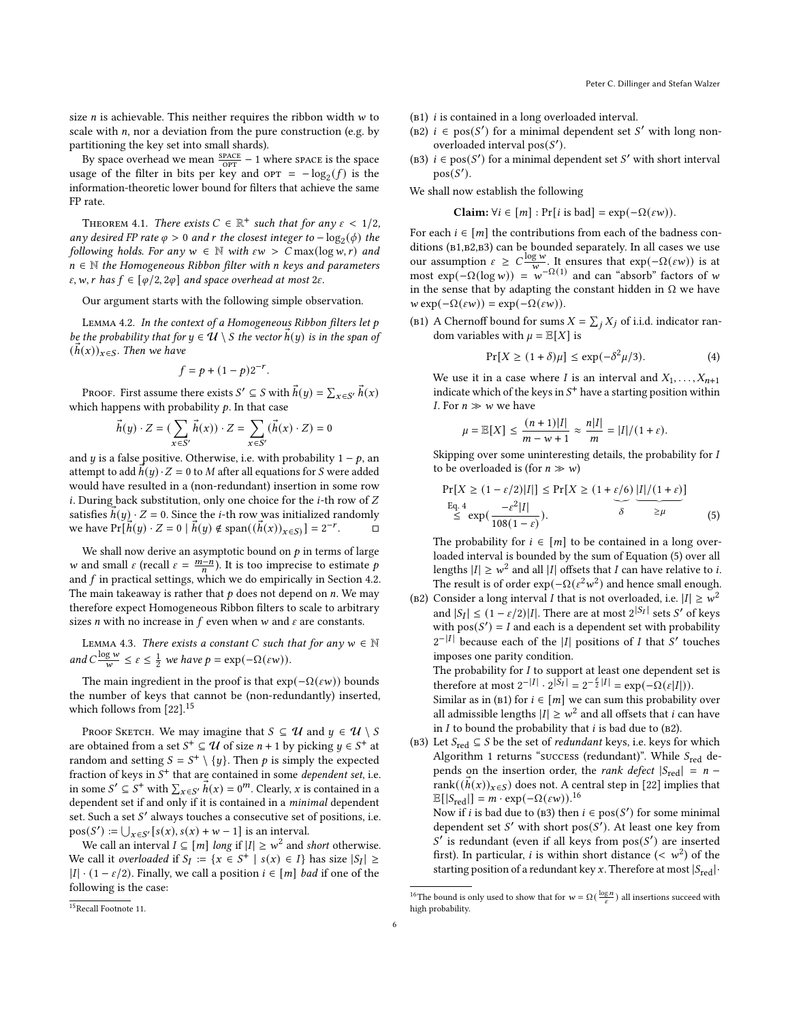size  $n$  is achievable. This neither requires the ribbon width  $w$  to scale with  $n$ , nor a deviation from the pure construction (e.g. by partitioning the key set into small shards).

By space overhead we mean  $\frac{\text{space}}{\text{OPT}} - 1$  where space is the space usage of the filter in bits per key and  $\text{OPT} = -\log_2(f)$  is the information-theoretic lower bound for filters that achieve the same FP rate.

<span id="page-5-0"></span>THEOREM 4.1. There exists  $C \in \mathbb{R}^+$  such that for any  $\varepsilon < 1/2$ , any desired FP rate  $\varphi > 0$  and r the closest integer to  $-\log_2(\phi)$  the following holds. For any  $w \in \mathbb{N}$  with  $\epsilon w > C \max(\log w, r)$  and  $n \in \mathbb{N}$  the Homogeneous Ribbon filter with n keys and parameters  $\varepsilon$ , w, r has  $f \in [\varphi/2, 2\varphi]$  and space overhead at most  $2\varepsilon$ .

Our argument starts with the following simple observation.

<span id="page-5-6"></span>LEMMA 4.2. In the context of a Homogeneous Ribbon filters let  $p$ be the probability that for  $y \in \mathcal{U} \setminus S$  the vector  $h(y)$  is in the span of  $(h(x))_{x\in S}$ . Then we have

$$
f = p + (1 - p)2^{-r}.
$$

PROOF. First assume there exists  $S' \subseteq S$  with  $h(y) = \sum_{x \in S'} h(x)$ which happens with probability  $p$ . In that case

$$
\vec{h}(y) \cdot Z = (\sum_{x \in S'} \vec{h}(x)) \cdot Z = \sum_{x \in S'} (\vec{h}(x) \cdot Z) = 0
$$

and *y* is a false positive. Otherwise, i.e. with probability  $1 - p$ , an attempt to add  $h(y) \cdot Z = 0$  to M after all equations for S were added would have resulted in a (non-redundant) insertion in some row  $i$ . During back substitution, only one choice for the  $i$ -th row of  $Z$ satisfies  $h(y) \cdot Z = 0$ . Since the *i*-th row was initialized randomly we have  $Pr[\vec{h}(y) \cdot Z = 0 \mid \vec{h}(y) \notin span((\vec{h}(x))_{x \in S})] = 2^{-r}$  $\Box$ 

We shall now derive an asymptotic bound on  $p$  in terms of large w and small  $\varepsilon$  (recall  $\varepsilon = \frac{m-n}{n}$ ). It is too imprecise to estimate p and  $f$  in practical settings, which we do empirically in Section [4.2.](#page-6-0) The main takeaway is rather that  $p$  does not depend on  $n$ . We may therefore expect Homogeneous Ribbon filters to scale to arbitrary sizes *n* with no increase in  $f$  even when  $w$  and  $\varepsilon$  are constants.

<span id="page-5-5"></span>LEMMA 4.3. There exists a constant  $C$  such that for any  $w \in \mathbb{N}$ and  $C \frac{\log w}{w} \le \varepsilon \le \frac{1}{2}$  we have  $p = \exp(-\Omega(\varepsilon w)).$ 

The main ingredient in the proof is that  $exp(-\Omega(\varepsilon w))$  bounds the number of keys that cannot be (non-redundantly) inserted, which follows from [\[22\]](#page-12-21).[15](#page-5-1)

PROOF SKETCH. We may imagine that  $S \subseteq \mathcal{U}$  and  $y \in \mathcal{U} \setminus S$ are obtained from a set  $S^+ \subseteq U$  of size  $n + 1$  by picking  $y \in S^+$  at random and setting  $S = S^+ \setminus \{y\}$ . Then  $p$  is simply the expected fraction of keys in  $S^+$  that are contained in some *dependent set*, i.e. in some  $S' \subseteq S^+$  with  $\sum_{x \in S'} \vec{h}(x) = 0^m$ . Clearly, x is contained in a dependent set if and only if it is contained in a minimal dependent set. Such a set S' always touches a consecutive set of positions, i.e.  $pos(S') := \bigcup_{x \in S'} [s(x), s(x) + w - 1]$  is an interval.

We call an interval  $I \subseteq [m]$  long if  $|I| \geq w^2$  and short otherwise. We call it overloaded if  $S_I := \{x \in S^+ \mid s(x) \in I\}$  has size  $|S_I| \ge$  $|I| \cdot (1 - \varepsilon/2)$ . Finally, we call a position  $i \in [m]$  *bad* if one of the following is the case:

- (B2)  $i \in \text{pos}(S')$  for a minimal dependent set S' with long nonoverloaded interval  $pos(S')$ .
- (B3)  $i \in \text{pos}(S')$  for a minimal dependent set S' with short interval  $pos(S')$ .

We shall now establish the following

Claim:  $\forall i \in [m] : Pr[i \text{ is bad}] = \exp(-\Omega(\varepsilon w)).$ 

For each  $i \in [m]$  the contributions from each of the badness conditions (B1,B2,B3) can be bounded separately. In all cases we use our assumption  $\varepsilon \geq C \frac{\log w}{w}$ . It ensures that  $\exp(-\Omega(\varepsilon w))$  is at most  $\exp(-\Omega(\log w)) = w^{-\Omega(1)}$  and can "absorb" factors of w in the sense that by adapting the constant hidden in  $\Omega$  we have  $w \exp(-\Omega(\varepsilon w)) = \exp(-\Omega(\varepsilon w)).$ 

(B1) A Chernoff bound for sums  $X = \sum_j X_j$  of i.i.d. indicator random variables with  $\mu = \mathbb{E}[X]$  is

<span id="page-5-2"></span>
$$
\Pr[X \ge (1+\delta)\mu] \le \exp(-\delta^2 \mu/3). \tag{4}
$$

We use it in a case where I is an interval and  $X_1, \ldots, X_{n+1}$ indicate which of the keys in  $S^+$  have a starting position within *I*. For  $n \gg w$  we have

<span id="page-5-3"></span>
$$
\mu = \mathbb{E}[X] \le \frac{(n+1)|I|}{m - w + 1} \approx \frac{n|I|}{m} = |I|/(1 + \varepsilon).
$$

Skipping over some uninteresting details, the probability for I to be overloaded is (for  $n \gg w$ )

$$
\Pr[X \ge (1 - \varepsilon/2)|I|] \le \Pr[X \ge (1 + \varepsilon/6) |I|/(1 + \varepsilon)]
$$
  
\nEq. 4  
\n
$$
\le \exp\left(\frac{-\varepsilon^2 |I|}{108(1 - \varepsilon)}\right).
$$
 (5)

The probability for  $i \in [m]$  to be contained in a long overloaded interval is bounded by the sum of Equation [\(5\)](#page-5-3) over all lengths  $|I| \geq w^2$  and all  $|I|$  offsets that  $I$  can have relative to  $i$ . The result is of order  $\exp(-\Omega(\epsilon^2 w^2))$  and hence small enough.

(B2) Consider a long interval *I* that is not overloaded, i.e.  $|I| \geq w^2$ and  $|S_I| \leq (1 - \varepsilon/2)|I|$ . There are at most  $2^{|S_I|}$  sets  $S'$  of keys | with  $pos(S') = I$  and each is a dependent set with probability  $2^{-|I|}$  because each of the |I| positions of I that S' touches imposes one parity condition.

The probability for  $I$  to support at least one dependent set is therefore at most  $2^{-|I|} \cdot 2^{|S_I|} = 2^{-\frac{\varepsilon}{2}|I|} = \exp(-\Omega(\varepsilon|I|)).$ 

Similar as in (B1) for  $i \in [m]$  we can sum this probability over all admissible lengths  $|I| \geq w^2$  and all offsets that  $i$  can have in  $I$  to bound the probability that  $i$  is bad due to (B2).

(в3) Let  $S_{\rm red} \subseteq S$  be the set of  $redundant$  keys, i.e. keys for which Algorithm [1](#page-3-1) returns "success (redundant)". While  $S_{\text{red}}$  depends on the insertion order, the *rank defect*  $|S_{\text{red}}| = n$ rank( $(h(x))_{x \in S}$ ) does not. A central step in [\[22\]](#page-12-21) implies that  $\mathbb{E}[|S_{\text{red}}|] = m \cdot \exp(-\Omega(\varepsilon w)).^{16}$  $\mathbb{E}[|S_{\text{red}}|] = m \cdot \exp(-\Omega(\varepsilon w)).^{16}$  $\mathbb{E}[|S_{\text{red}}|] = m \cdot \exp(-\Omega(\varepsilon w)).^{16}$ 

Now if *i* is bad due to (B3) then  $i \in \text{pos}(S')$  for some minimal dependent set  $S'$  with short  $pos(S')$ . At least one key from S' is redundant (even if all keys from  $pos(S')$  are inserted first). In particular, *i* is within short distance  $( $w^2$ ) of the$ starting position of a redundant key x. Therefore at most  $|S_{\text{red}}|\cdot$ 

 $(b1)$  *i* is contained in a long overloaded interval.

<span id="page-5-4"></span><sup>&</sup>lt;sup>16</sup>The bound is only used to show that for  $w = \Omega(\frac{\log n}{\varepsilon})$  all insertions succeed with high probability.

<span id="page-5-1"></span><sup>15</sup>Recall Footnote [11.](#page-2-3)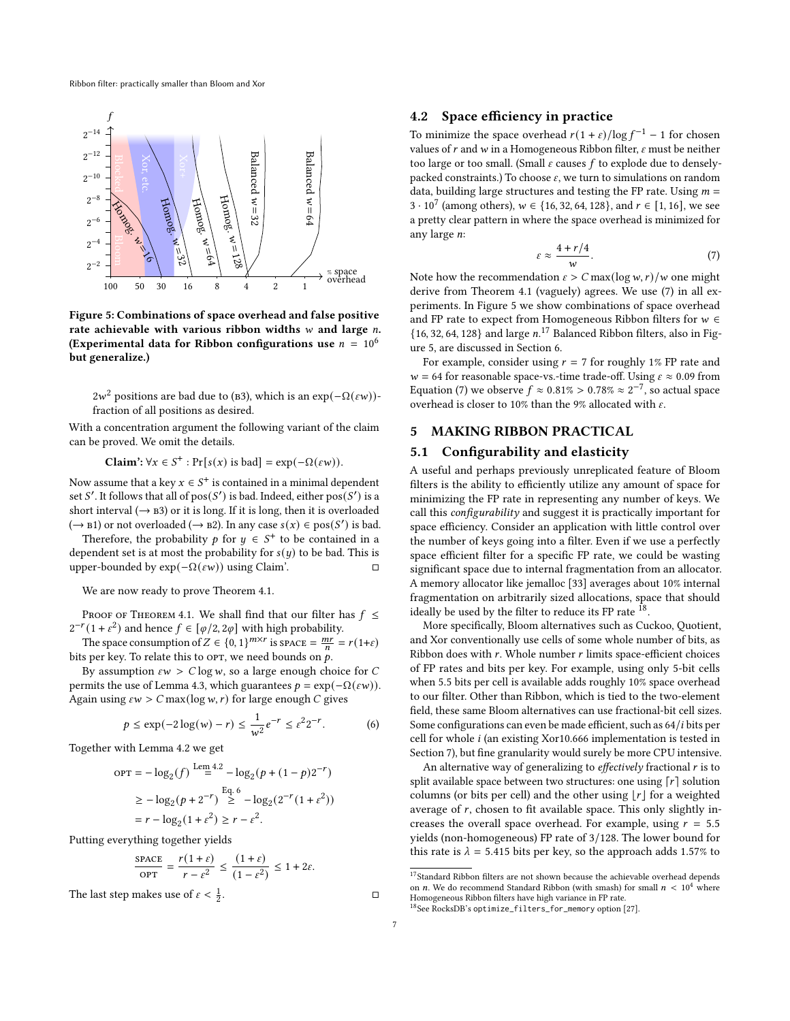<span id="page-6-3"></span>

Figure 5: Combinations of space overhead and false positive rate achievable with various ribbon widths  $w$  and large  $n$ . (Experimental data for Ribbon configurations use  $n = 10^6$ but generalize.)

 $2w^2$  positions are bad due to (B3), which is an exp( $-\Omega(\varepsilon w)$ )fraction of all positions as desired.

With a concentration argument the following variant of the claim can be proved. We omit the details.

**Claim':**  $\forall x \in S^+ : \Pr[s(x) \text{ is bad}] = \exp(-\Omega(\varepsilon w)).$ 

Now assume that a key  $x \in S^+$  is contained in a minimal dependent set S'. It follows that all of  $pos(S')$  is bad. Indeed, either  $pos(S')$  is a short interval ( $\rightarrow$  B3) or it is long. If it is long, then it is overloaded (→ в1) or not overloaded (→ в2). In any case  $s(x) \in \text{pos}(S')$  is bad.

Therefore, the probability  $p$  for  $y \in S^+$  to be contained in a dependent set is at most the probability for  $s(y)$  to be bad. This is upper-bounded by  $\exp(-\Omega(\epsilon w))$  using Claim. upper-bounded by  $exp(-\Omega(\varepsilon w))$  using Claim'.

We are now ready to prove Theorem [4.1.](#page-5-0)

PROOF OF THEOREM [4.1.](#page-5-0) We shall find that our filter has  $f \leq$  $2^{-r}(1+\varepsilon^2)$  and hence  $f \in [\varphi/2, 2\varphi]$  with high probability.

The space consumption of  $Z \in \{0, 1\}^{m \times r}$  is space  $= \frac{mr}{n} = r(1+\varepsilon)$ bits per key. To relate this to OPT, we need bounds on  $p$ .

By assumption  $\epsilon w > C \log w$ , so a large enough choice for C permits the use of Lemma [4.3,](#page-5-5) which guarantees  $p = \exp(-\Omega(\varepsilon w))$ . Again using  $\epsilon w > C \max(\log w, r)$  for large enough C gives

<span id="page-6-1"></span>
$$
p \le \exp(-2\log(w) - r) \le \frac{1}{w^2} e^{-r} \le \varepsilon^2 2^{-r}.
$$
 (6)

Together with Lemma [4.2](#page-5-6) we get

$$
OPT = -\log_2(f) \stackrel{\text{Lem 4.2}}{=} -\log_2(p + (1 - p)2^{-r})
$$
  
 
$$
\geq -\log_2(p + 2^{-r}) \stackrel{\text{Eq. 6}}{>} - \log_2(2^{-r}(1 + \varepsilon^2))
$$
  
 
$$
= r - \log_2(1 + \varepsilon^2) \geq r - \varepsilon^2.
$$

Putting everything together yields

$$
\frac{\text{space}}{\text{OPT}} = \frac{r(1+\varepsilon)}{r-\varepsilon^2} \le \frac{(1+\varepsilon)}{(1-\varepsilon^2)} \le 1+2\varepsilon.
$$

The last step makes use of  $\varepsilon < \frac{1}{2}$ . □

#### <span id="page-6-0"></span>4.2 Space efficiency in practice

To minimize the space overhead  $r(1 + \varepsilon)/\log f^{-1} - 1$  for chosen values of  $r$  and  $w$  in a Homogeneous Ribbon filter,  $\varepsilon$  must be neither too large or too small. (Small  $\varepsilon$  causes  $f$  to explode due to denselypacked constraints.) To choose  $\varepsilon$ , we turn to simulations on random data, building large structures and testing the FP rate. Using  $m =$ 3 · 10<sup>7</sup> (among others),  $w \in \{16, 32, 64, 128\}$ , and  $r \in [1, 16]$ , we see a pretty clear pattern in where the space overhead is minimized for any large  $n$ :

<span id="page-6-2"></span>
$$
\varepsilon \approx \frac{4 + r/4}{w}.\tag{7}
$$

Note how the recommendation  $\varepsilon > C \max(\log w, r) / w$  one might derive from Theorem [4.1](#page-5-0) (vaguely) agrees. We use [\(7\)](#page-6-2) in all experiments. In Figure [5](#page-6-3) we show combinations of space overhead and FP rate to expect from Homogeneous Ribbon filters for  $w \in$  $\{16, 32, 64, 128\}$  and large  $n.^{17}$  $n.^{17}$  $n.^{17}$  Balanced Ribbon filters, also in Figure [5,](#page-6-3) are discussed in Section [6.](#page-9-0)

For example, consider using  $r = 7$  for roughly 1% FP rate and  $w = 64$  for reasonable space-vs.-time trade-off. Using  $\varepsilon \approx 0.09$  from Equation [\(7\)](#page-6-2) we observe  $f \approx 0.81\% > 0.78\% \approx 2^{-7}$ , so actual space overhead is closer to 10% than the 9% allocated with  $\varepsilon$ .

## 5 MAKING RIBBON PRACTICAL

#### <span id="page-6-6"></span>5.1 Configurability and elasticity

A useful and perhaps previously unreplicated feature of Bloom filters is the ability to efficiently utilize any amount of space for minimizing the FP rate in representing any number of keys. We call this configurability and suggest it is practically important for space efficiency. Consider an application with little control over the number of keys going into a filter. Even if we use a perfectly space efficient filter for a specific FP rate, we could be wasting significant space due to internal fragmentation from an allocator. A memory allocator like jemalloc [\[33\]](#page-12-28) averages about 10% internal fragmentation on arbitrarily sized allocations, space that should ideally be used by the filter to reduce its FP rate  $^{18}$  $^{18}$  $^{18}$ .

More specifically, Bloom alternatives such as Cuckoo, Quotient, and Xor conventionally use cells of some whole number of bits, as Ribbon does with  $r$ . Whole number  $r$  limits space-efficient choices of FP rates and bits per key. For example, using only 5-bit cells when 5.5 bits per cell is available adds roughly 10% space overhead to our filter. Other than Ribbon, which is tied to the two-element field, these same Bloom alternatives can use fractional-bit cell sizes. Some configurations can even be made efficient, such as  $64/i$  bits per cell for whole *i* (an existing Xor10.666 implementation is tested in Section [7\)](#page-10-0), but fine granularity would surely be more CPU intensive.

An alternative way of generalizing to effectively fractional  $r$  is to split available space between two structures: one using  $\lceil r \rceil$  solution columns (or bits per cell) and the other using  $|\mathbf{r}|$  for a weighted average of  $r$ , chosen to fit available space. This only slightly increases the overall space overhead. For example, using  $r = 5.5$ yields (non-homogeneous) FP rate of 3/128. The lower bound for this rate is  $\lambda = 5.415$  bits per key, so the approach adds 1.57% to

<span id="page-6-5"></span><sup>18</sup>See RocksDB's optimize\_filters\_for\_memory option [\[27\]](#page-12-29).

<span id="page-6-4"></span> $^{17}\rm{Standard}$  Ribbon filters are not shown because the achievable overhead depends on *n*. We do recommend Standard Ribbon (with smash) for small  $n < 10^4$  where Homogeneous Ribbon filters have high variance in FP rate.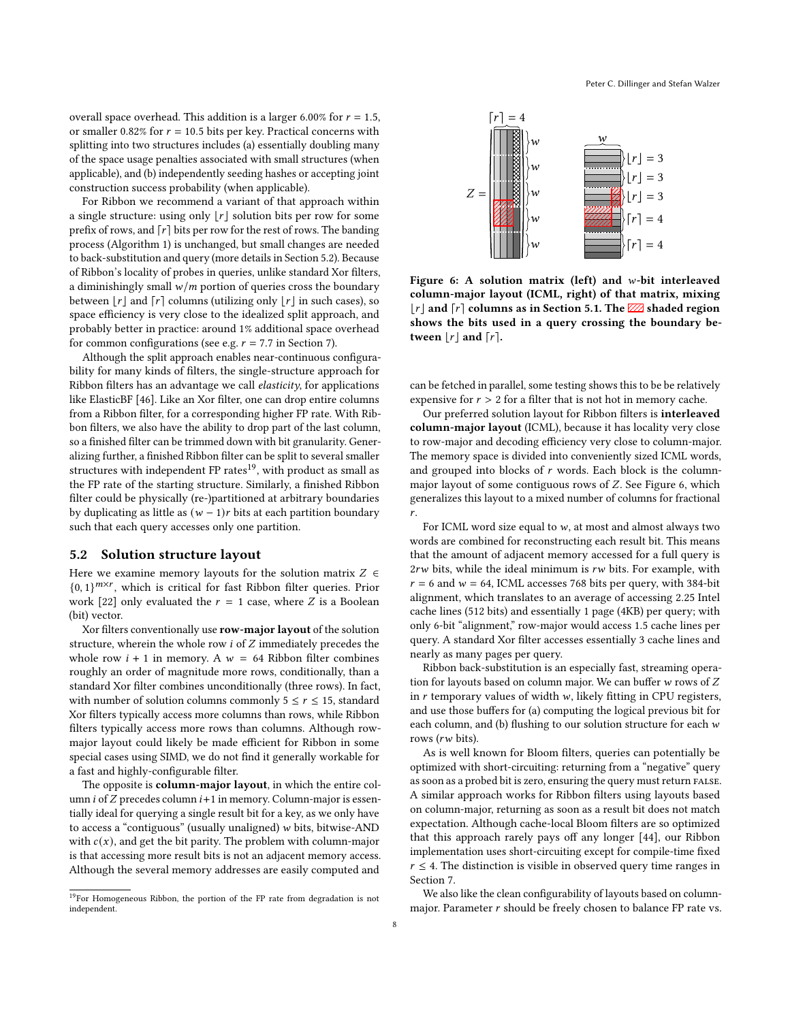overall space overhead. This addition is a larger 6.00% for  $r = 1.5$ , or smaller 0.82% for  $r = 10.5$  bits per key. Practical concerns with splitting into two structures includes (a) essentially doubling many of the space usage penalties associated with small structures (when applicable), and (b) independently seeding hashes or accepting joint construction success probability (when applicable).

For Ribbon we recommend a variant of that approach within a single structure: using only  $\lfloor r \rfloor$  solution bits per row for some prefix of rows, and  $\lceil r \rceil$  bits per row for the rest of rows. The banding process (Algorithm [1\)](#page-3-1) is unchanged, but small changes are needed to back-substitution and query (more details in Section [5.2\)](#page-7-0). Because of Ribbon's locality of probes in queries, unlike standard Xor filters, a diminishingly small  $w/m$  portion of queries cross the boundary between  $|r|$  and  $[r]$  columns (utilizing only  $|r|$  in such cases), so space efficiency is very close to the idealized split approach, and probably better in practice: around 1% additional space overhead for common configurations (see e.g.  $r = 7.7$  in Section [7\)](#page-10-0).

Although the split approach enables near-continuous configurability for many kinds of filters, the single-structure approach for Ribbon filters has an advantage we call *elasticity*, for applications like ElasticBF [\[46\]](#page-12-30). Like an Xor filter, one can drop entire columns from a Ribbon filter, for a corresponding higher FP rate. With Ribbon filters, we also have the ability to drop part of the last column, so a finished filter can be trimmed down with bit granularity. Generalizing further, a finished Ribbon filter can be split to several smaller structures with independent FP rates<sup>[19](#page-7-1)</sup>, with product as small as the FP rate of the starting structure. Similarly, a finished Ribbon filter could be physically (re-)partitioned at arbitrary boundaries by duplicating as little as  $(w - 1)r$  bits at each partition boundary such that each query accesses only one partition.

#### <span id="page-7-0"></span>5.2 Solution structure layout

Here we examine memory layouts for the solution matrix  $Z \in$  ${0, 1}^{m \times r}$ , which is critical for fast Ribbon filter queries. Prior work [\[22\]](#page-12-21) only evaluated the  $r = 1$  case, where  $Z$  is a Boolean (bit) vector.

Xor filters conventionally use row-major layout of the solution structure, wherein the whole row  $i$  of  $Z$  immediately precedes the whole row  $i + 1$  in memory. A  $w = 64$  Ribbon filter combines roughly an order of magnitude more rows, conditionally, than a standard Xor filter combines unconditionally (three rows). In fact, with number of solution columns commonly  $5 \le r \le 15$ , standard Xor filters typically access more columns than rows, while Ribbon filters typically access more rows than columns. Although rowmajor layout could likely be made efficient for Ribbon in some special cases using SIMD, we do not find it generally workable for a fast and highly-configurable filter.

The opposite is column-major layout, in which the entire column  $i$  of  $Z$  precedes column  $i+1$  in memory. Column-major is essentially ideal for querying a single result bit for a key, as we only have to access a "contiguous" (usually unaligned)  $w$  bits, bitwise-AND with  $c(x)$ , and get the bit parity. The problem with column-major is that accessing more result bits is not an adjacent memory access. Although the several memory addresses are easily computed and

<span id="page-7-1"></span>

<span id="page-7-2"></span>

Figure 6: A solution matrix (left) and  $w$ -bit interleaved column-major layout (ICML, right) of that matrix, mixing  $|\mathbf{r}|$  and  $|\mathbf{r}|$  columns as in Section [5.1.](#page-6-6) The  $\mathbb{Z}$  shaded region shows the bits used in a query crossing the boundary between  $|r|$  and  $[r]$ .

can be fetched in parallel, some testing shows this to be be relatively expensive for  $r > 2$  for a filter that is not hot in memory cache.

Our preferred solution layout for Ribbon filters is interleaved column-major layout (ICML), because it has locality very close to row-major and decoding efficiency very close to column-major. The memory space is divided into conveniently sized ICML words, and grouped into blocks of  $r$  words. Each block is the columnmajor layout of some contiguous rows of  $Z$ . See Figure [6,](#page-7-2) which generalizes this layout to a mixed number of columns for fractional .

For ICML word size equal to  $w$ , at most and almost always two words are combined for reconstructing each result bit. This means that the amount of adjacent memory accessed for a full query is  $2rw$  bits, while the ideal minimum is  $rw$  bits. For example, with  $r = 6$  and  $w = 64$ , ICML accesses 768 bits per query, with 384-bit alignment, which translates to an average of accessing 2.25 Intel cache lines (512 bits) and essentially 1 page (4KB) per query; with only 6-bit "alignment," row-major would access 1.5 cache lines per query. A standard Xor filter accesses essentially 3 cache lines and nearly as many pages per query.

Ribbon back-substitution is an especially fast, streaming operation for layouts based on column major. We can buffer  $w$  rows of  $Z$ in  $r$  temporary values of width  $w$ , likely fitting in CPU registers, and use those buffers for (a) computing the logical previous bit for each column, and (b) flushing to our solution structure for each  $w$ rows  $(rw \text{ bits}).$ 

As is well known for Bloom filters, queries can potentially be optimized with short-circuiting: returning from a "negative" query as soon as a probed bit is zero, ensuring the query must return false. A similar approach works for Ribbon filters using layouts based on column-major, returning as soon as a result bit does not match expectation. Although cache-local Bloom filters are so optimized that this approach rarely pays off any longer [\[44\]](#page-12-4), our Ribbon implementation uses short-circuiting except for compile-time fixed  $r \leq 4$ . The distinction is visible in observed query time ranges in Section [7.](#page-10-0)

We also like the clean configurability of layouts based on columnmajor. Parameter  $r$  should be freely chosen to balance FP rate vs.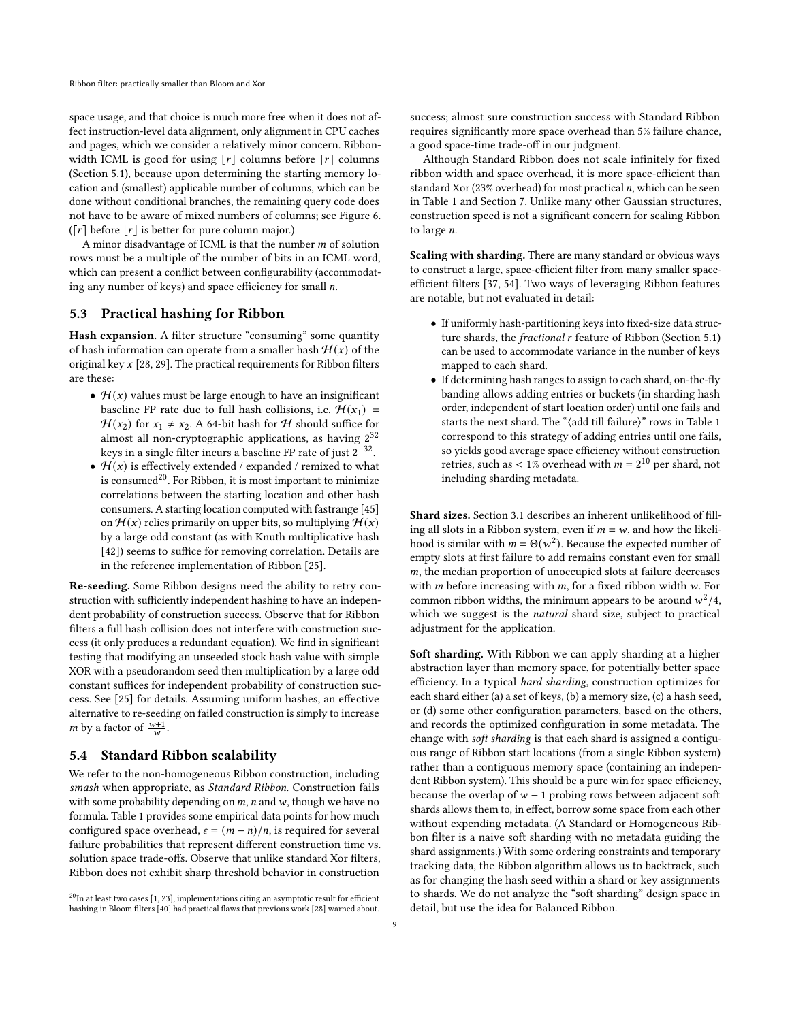space usage, and that choice is much more free when it does not affect instruction-level data alignment, only alignment in CPU caches and pages, which we consider a relatively minor concern. Ribbonwidth ICML is good for using  $|r|$  columns before  $[r]$  columns (Section [5.1\)](#page-6-6), because upon determining the starting memory location and (smallest) applicable number of columns, which can be done without conditional branches, the remaining query code does not have to be aware of mixed numbers of columns; see Figure [6.](#page-7-2) ( $\lceil r \rceil$  before  $\lfloor r \rfloor$  is better for pure column major.)

A minor disadvantage of ICML is that the number  $m$  of solution rows must be a multiple of the number of bits in an ICML word, which can present a conflict between configurability (accommodating any number of keys) and space efficiency for small  $n$ .

## 5.3 Practical hashing for Ribbon

Hash expansion. A filter structure "consuming" some quantity of hash information can operate from a smaller hash  $H(x)$  of the original key  $x$  [\[28,](#page-12-31) [29\]](#page-12-32). The practical requirements for Ribbon filters are these:

- $\mathcal{H}(x)$  values must be large enough to have an insignificant baseline FP rate due to full hash collisions, i.e.  $\mathcal{H}(x_1) =$  $H(x_2)$  for  $x_1 \neq x_2$ . A 64-bit hash for H should suffice for almost all non-cryptographic applications, as having  $2^{32}$ keys in a single filter incurs a baseline FP rate of just  $2^{-32}$ .
- $\mathcal{H}(x)$  is effectively extended / expanded / remixed to what is consumed<sup>[20](#page-8-1)</sup>. For Ribbon, it is most important to minimize correlations between the starting location and other hash consumers. A starting location computed with fastrange [\[45\]](#page-12-33) on  $\mathcal{H}(x)$  relies primarily on upper bits, so multiplying  $\mathcal{H}(x)$ by a large odd constant (as with Knuth multiplicative hash [\[42\]](#page-12-34)) seems to suffice for removing correlation. Details are in the reference implementation of Ribbon [\[25\]](#page-12-35).

Re-seeding. Some Ribbon designs need the ability to retry construction with sufficiently independent hashing to have an independent probability of construction success. Observe that for Ribbon filters a full hash collision does not interfere with construction success (it only produces a redundant equation). We find in significant testing that modifying an unseeded stock hash value with simple XOR with a pseudorandom seed then multiplication by a large odd constant suffices for independent probability of construction success. See [\[25\]](#page-12-35) for details. Assuming uniform hashes, an effective alternative to re-seeding on failed construction is simply to increase *m* by a factor of  $\frac{w+1}{w}$ .

#### <span id="page-8-0"></span>5.4 Standard Ribbon scalability

We refer to the non-homogeneous Ribbon construction, including smash when appropriate, as Standard Ribbon. Construction fails with some probability depending on  $m$ ,  $n$  and  $w$ , though we have no formula. Table [1](#page-9-1) provides some empirical data points for how much configured space overhead,  $\varepsilon = (m - n)/n$ , is required for several failure probabilities that represent different construction time vs. solution space trade-offs. Observe that unlike standard Xor filters, Ribbon does not exhibit sharp threshold behavior in construction

success; almost sure construction success with Standard Ribbon requires significantly more space overhead than 5% failure chance, a good space-time trade-off in our judgment.

Although Standard Ribbon does not scale infinitely for fixed ribbon width and space overhead, it is more space-efficient than standard Xor (23% overhead) for most practical  $n$ , which can be seen in Table [1](#page-9-1) and Section [7.](#page-10-0) Unlike many other Gaussian structures, construction speed is not a significant concern for scaling Ribbon to large  $n$ .

Scaling with sharding. There are many standard or obvious ways to construct a large, space-efficient filter from many smaller spaceefficient filters [\[37,](#page-12-19) [54\]](#page-13-1). Two ways of leveraging Ribbon features are notable, but not evaluated in detail:

- If uniformly hash-partitioning keys into fixed-size data structure shards, the *fractional r* feature of Ribbon (Section [5.1\)](#page-6-6) can be used to accommodate variance in the number of keys mapped to each shard.
- If determining hash ranges to assign to each shard, on-the-fly banding allows adding entries or buckets (in sharding hash order, independent of start location order) until one fails and starts the next shard. The "⟨add till failure⟩" rows in Table [1](#page-9-1) correspond to this strategy of adding entries until one fails, so yields good average space efficiency without construction retries, such as < 1% overhead with  $m = 2^{10}$  per shard, not including sharding metadata.

Shard sizes. Section [3.1](#page-4-3) describes an inherent unlikelihood of filling all slots in a Ribbon system, even if  $m = w$ , and how the likelihood is similar with  $m = \Theta(w^2)$ . Because the expected number of empty slots at first failure to add remains constant even for small  $m$ , the median proportion of unoccupied slots at failure decreases with  $m$  before increasing with  $m$ , for a fixed ribbon width  $w$ . For common ribbon widths, the minimum appears to be around  $w^2/4$ , which we suggest is the natural shard size, subject to practical adjustment for the application.

Soft sharding. With Ribbon we can apply sharding at a higher abstraction layer than memory space, for potentially better space efficiency. In a typical hard sharding, construction optimizes for each shard either (a) a set of keys, (b) a memory size, (c) a hash seed, or (d) some other configuration parameters, based on the others, and records the optimized configuration in some metadata. The change with soft sharding is that each shard is assigned a contiguous range of Ribbon start locations (from a single Ribbon system) rather than a contiguous memory space (containing an independent Ribbon system). This should be a pure win for space efficiency, because the overlap of  $w - 1$  probing rows between adjacent soft shards allows them to, in effect, borrow some space from each other without expending metadata. (A Standard or Homogeneous Ribbon filter is a naive soft sharding with no metadata guiding the shard assignments.) With some ordering constraints and temporary tracking data, the Ribbon algorithm allows us to backtrack, such as for changing the hash seed within a shard or key assignments to shards. We do not analyze the "soft sharding" design space in detail, but use the idea for Balanced Ribbon.

<span id="page-8-1"></span> $^{20}{\rm In}$  at least two cases [\[1,](#page-12-36) [23\]](#page-12-37), implementations citing an asymptotic result for efficient hashing in Bloom filters [\[40\]](#page-12-38) had practical flaws that previous work [\[28\]](#page-12-31) warned about.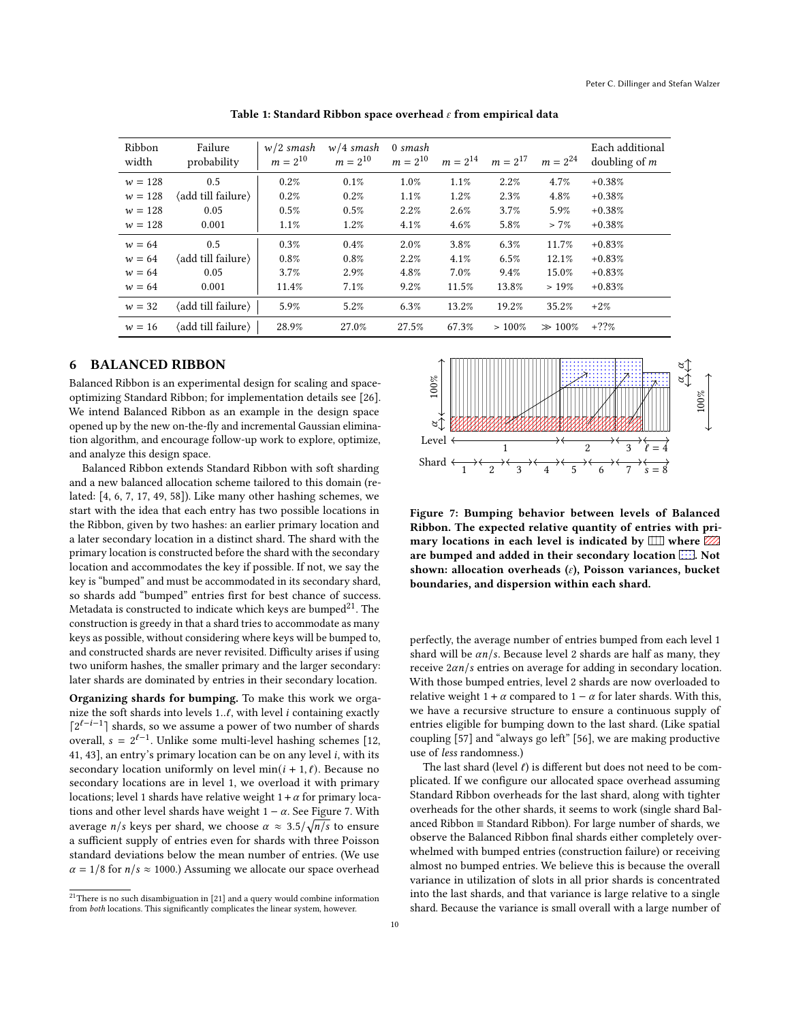<span id="page-9-1"></span>

| Ribbon<br>width | Failure<br>probability | $w/2$ smash<br>$m = 2^{10}$ | $w/4$ smash<br>$m = 2^{10}$ | 0 smash<br>$m = 2^{10}$ | $m = 2^{14}$ | $m = 2^{17}$ | $m = 2^{24}$ | Each additional<br>doubling of $m$ |
|-----------------|------------------------|-----------------------------|-----------------------------|-------------------------|--------------|--------------|--------------|------------------------------------|
| $w = 128$       | 0.5                    | 0.2%                        | 0.1%                        | 1.0%                    | 1.1%         | 2.2%         | 4.7%         | $+0.38%$                           |
| $w = 128$       | (add till failure)     | 0.2%                        | 0.2%                        | 1.1%                    | 1.2%         | 2.3%         | 4.8%         | $+0.38%$                           |
| $w = 128$       | 0.05                   | 0.5%                        | 0.5%                        | 2.2%                    | 2.6%         | 3.7%         | 5.9%         | $+0.38%$                           |
| $w = 128$       | 0.001                  | 1.1%                        | 1.2%                        | 4.1%                    | 4.6%         | 5.8%         | $> 7\%$      | $+0.38%$                           |
| $w = 64$        | 0.5                    | 0.3%                        | 0.4%                        | 2.0%                    | 3.8%         | 6.3%         | 11.7%        | $+0.83%$                           |
| $w = 64$        | (add till failure)     | 0.8%                        | 0.8%                        | 2.2%                    | 4.1%         | 6.5%         | 12.1%        | $+0.83%$                           |
| $w = 64$        | 0.05                   | 3.7%                        | 2.9%                        | 4.8%                    | 7.0%         | 9.4%         | 15.0%        | $+0.83%$                           |
| $w = 64$        | 0.001                  | 11.4%                       | 7.1%                        | 9.2%                    | 11.5%        | 13.8%        | >19%         | $+0.83%$                           |
| $w = 32$        | (add till failure)     | 5.9%                        | 5.2%                        | 6.3%                    | 13.2%        | 19.2%        | 35.2%        | $+2%$                              |
| $w = 16$        | (add till failure)     | 28.9%                       | 27.0%                       | 27.5%                   | 67.3%        | >100%        | $\gg 100\%$  | $+??%$                             |

Table 1: Standard Ribbon space overhead  $\varepsilon$  from empirical data

# <span id="page-9-0"></span>6 BALANCED RIBBON

Balanced Ribbon is an experimental design for scaling and spaceoptimizing Standard Ribbon; for implementation details see [\[26\]](#page-12-39). We intend Balanced Ribbon as an example in the design space opened up by the new on-the-fly and incremental Gaussian elimination algorithm, and encourage follow-up work to explore, optimize, and analyze this design space.

Balanced Ribbon extends Standard Ribbon with soft sharding and a new balanced allocation scheme tailored to this domain (related: [\[4,](#page-12-40) [6,](#page-12-41) [7,](#page-12-42) [17,](#page-12-43) [49,](#page-13-9) [58\]](#page-13-10)). Like many other hashing schemes, we start with the idea that each entry has two possible locations in the Ribbon, given by two hashes: an earlier primary location and a later secondary location in a distinct shard. The shard with the primary location is constructed before the shard with the secondary location and accommodates the key if possible. If not, we say the key is "bumped" and must be accommodated in its secondary shard, so shards add "bumped" entries first for best chance of success. Metadata is constructed to indicate which keys are bumped<sup>[21](#page-9-2)</sup>. The construction is greedy in that a shard tries to accommodate as many keys as possible, without considering where keys will be bumped to, and constructed shards are never revisited. Difficulty arises if using two uniform hashes, the smaller primary and the larger secondary: later shards are dominated by entries in their secondary location.

Organizing shards for bumping. To make this work we organize the soft shards into levels  $1..l$ , with level  $i$  containing exactly  $\lceil 2^{\ell-i-1} \rceil$  shards, so we assume a power of two number of shards overall,  $s = 2^{\ell-1}$ . Unlike some multi-level hashing schemes [\[12,](#page-12-44) [41,](#page-12-45) [43\]](#page-12-46), an entry's primary location can be on any level  $i$ , with its secondary location uniformly on level  $min(i + 1, \ell)$ . Because no secondary locations are in level 1, we overload it with primary locations; level 1 shards have relative weight  $1 + \alpha$  for primary locations and other level shards have weight  $1 - \alpha$ . See Figure [7.](#page-9-3) With average  $n/s$  keys per shard, we choose  $\alpha \approx 3.5/\sqrt{n/s}$  to ensure a sufficient supply of entries even for shards with three Poisson standard deviations below the mean number of entries. (We use  $\alpha = 1/8$  for  $n/s \approx 1000$ .) Assuming we allocate our space overhead

<span id="page-9-2"></span>

<span id="page-9-3"></span>

Figure 7: Bumping behavior between levels of Balanced Ribbon. The expected relative quantity of entries with primary locations in each level is indicated by  $\Box\Box$  where  $\mathbb{Z}\mathbb{Z}$ are bumped and added in their secondary location ...... Not shown: allocation overheads  $(\varepsilon)$ , Poisson variances, bucket boundaries, and dispersion within each shard.

perfectly, the average number of entries bumped from each level 1 shard will be  $\alpha n/s$ . Because level 2 shards are half as many, they receive  $2\alpha n/s$  entries on average for adding in secondary location. With those bumped entries, level 2 shards are now overloaded to relative weight 1 +  $\alpha$  compared to 1 −  $\alpha$  for later shards. With this, we have a recursive structure to ensure a continuous supply of entries eligible for bumping down to the last shard. (Like spatial coupling [\[57\]](#page-13-6) and "always go left" [\[56\]](#page-13-11), we are making productive use of less randomness.)

The last shard (level  $\ell$ ) is different but does not need to be complicated. If we configure our allocated space overhead assuming Standard Ribbon overheads for the last shard, along with tighter overheads for the other shards, it seems to work (single shard Balanced Ribbon ≡ Standard Ribbon). For large number of shards, we observe the Balanced Ribbon final shards either completely overwhelmed with bumped entries (construction failure) or receiving almost no bumped entries. We believe this is because the overall variance in utilization of slots in all prior shards is concentrated into the last shards, and that variance is large relative to a single shard. Because the variance is small overall with a large number of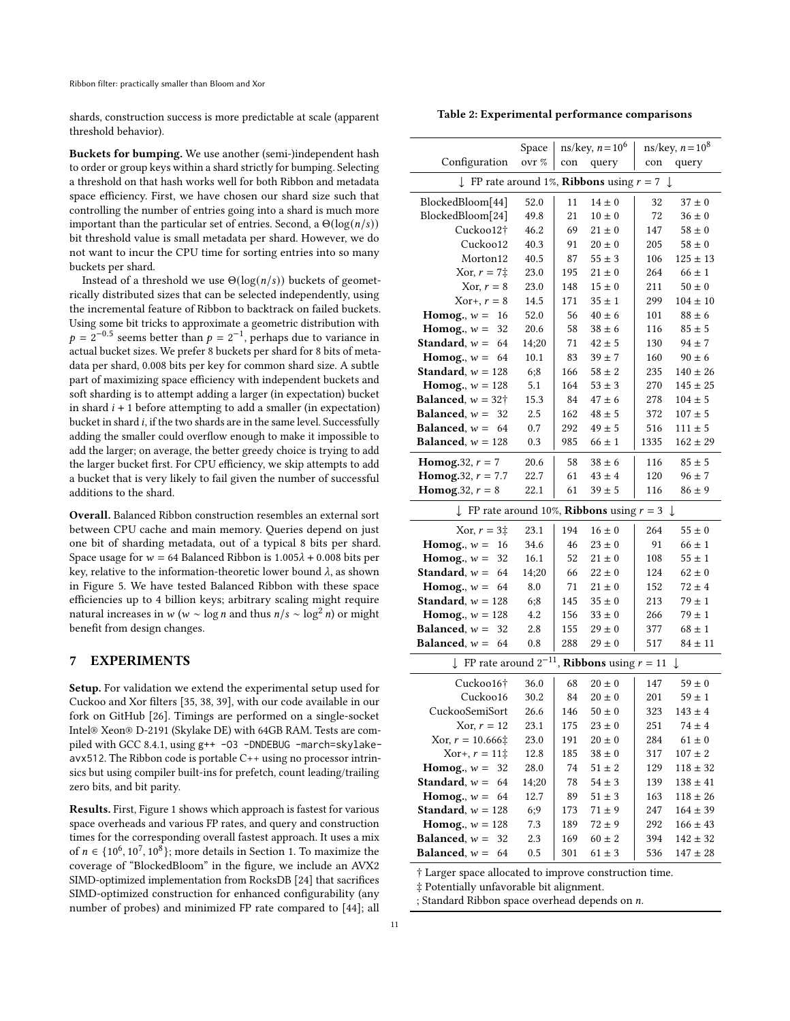shards, construction success is more predictable at scale (apparent threshold behavior).

Buckets for bumping. We use another (semi-)independent hash to order or group keys within a shard strictly for bumping. Selecting a threshold on that hash works well for both Ribbon and metadata space efficiency. First, we have chosen our shard size such that controlling the number of entries going into a shard is much more important than the particular set of entries. Second, a  $\Theta(\log(n/s))$ bit threshold value is small metadata per shard. However, we do not want to incur the CPU time for sorting entries into so many buckets per shard.

Instead of a threshold we use  $\Theta(\log(n/s))$  buckets of geometrically distributed sizes that can be selected independently, using the incremental feature of Ribbon to backtrack on failed buckets. Using some bit tricks to approximate a geometric distribution with  $p = 2^{-0.5}$  seems better than  $p = 2^{-1}$ , perhaps due to variance in actual bucket sizes. We prefer 8 buckets per shard for 8 bits of metadata per shard, 0.008 bits per key for common shard size. A subtle part of maximizing space efficiency with independent buckets and soft sharding is to attempt adding a larger (in expectation) bucket in shard  $i + 1$  before attempting to add a smaller (in expectation) bucket in shard *i*, if the two shards are in the same level. Successfully adding the smaller could overflow enough to make it impossible to add the larger; on average, the better greedy choice is trying to add the larger bucket first. For CPU efficiency, we skip attempts to add a bucket that is very likely to fail given the number of successful additions to the shard.

Overall. Balanced Ribbon construction resembles an external sort between CPU cache and main memory. Queries depend on just one bit of sharding metadata, out of a typical 8 bits per shard. Space usage for  $w = 64$  Balanced Ribbon is  $1.005\lambda + 0.008$  bits per key, relative to the information-theoretic lower bound  $\lambda$ , as shown in Figure [5.](#page-6-3) We have tested Balanced Ribbon with these space efficiencies up to 4 billion keys; arbitrary scaling might require natural increases in  $w$  ( $w \sim \log n$  and thus  $n/s \sim \log^2 n$ ) or might benefit from design changes.

## <span id="page-10-0"></span>7 EXPERIMENTS

Setup. For validation we extend the experimental setup used for Cuckoo and Xor filters [\[35,](#page-12-2) [38,](#page-12-22) [39\]](#page-12-3), with our code available in our fork on GitHub [\[26\]](#page-12-39). Timings are performed on a single-socket Intel® Xeon® D-2191 (Skylake DE) with 64GB RAM. Tests are compiled with GCC 8.4.1, using g++ -O3 -DNDEBUG -march=skylakeavx512. The Ribbon code is portable C++ using no processor intrinsics but using compiler built-ins for prefetch, count leading/trailing zero bits, and bit parity.

Results. First, Figure [1](#page-1-0) shows which approach is fastest for various space overheads and various FP rates, and query and construction times for the corresponding overall fastest approach. It uses a mix of  $n \in \{10^6, 10^7, 10^8\}$ ; more details in Section [1.](#page-0-5) To maximize the coverage of "BlockedBloom" in the figure, we include an AVX2 SIMD-optimized implementation from RocksDB [\[24\]](#page-12-13) that sacrifices SIMD-optimized construction for enhanced configurability (any number of probes) and minimized FP rate compared to [\[44\]](#page-12-4); all

<span id="page-10-1"></span>

| Table 2: Experimental performance comparisons |  |
|-----------------------------------------------|--|
|                                               |  |

|                                                                           | Space |     | ns/key, $n = 10^6$ |      | ns/key, $n = 10^8$ |  |  |
|---------------------------------------------------------------------------|-------|-----|--------------------|------|--------------------|--|--|
| Configuration                                                             | ovr % | con | query              | con  | query              |  |  |
| $\downarrow$ FP rate around 1%, <b>Ribbons</b> using $r = 7$ $\downarrow$ |       |     |                    |      |                    |  |  |
| BlockedBloom[44]                                                          | 52.0  | 11  | $14 \pm 0$         | 32   | $37 \pm 0$         |  |  |
| BlockedBloom[24]                                                          | 49.8  | 21  | $10 \pm 0$         | 72   | $36 \pm 0$         |  |  |
| Cuckoo12†                                                                 | 46.2  | 69  | $21 \pm 0$         | 147  | $58 \pm 0$         |  |  |
| Cuckoo12                                                                  | 40.3  | 91  | $20 \pm 0$         | 205  | $58 \pm 0$         |  |  |
| Morton12                                                                  | 40.5  | 87  | $55 \pm 3$         | 106  | $125 \pm 13$       |  |  |
| Xor. $r = 7\pm$                                                           | 23.0  | 195 | $21 \pm 0$         | 264  | $66 \pm 1$         |  |  |
| Xor, $r = 8$                                                              | 23.0  | 148 | $15 \pm 0$         | 211  | $50 \pm 0$         |  |  |
| $Xor+, r = 8$                                                             | 14.5  | 171 | $35 \pm 1$         | 299  | $104 \pm 10$       |  |  |
| Homog., $w =$<br>16                                                       | 52.0  | 56  | $40 \pm 6$         | 101  | $88 \pm 6$         |  |  |
| Homog., $w =$<br>32                                                       | 20.6  | 58  | $38 \pm 6$         | 116  | $85 \pm 5$         |  |  |
| Standard, $w =$<br>64                                                     | 14;20 | 71  | $42 \pm 5$         | 130  | $94 \pm 7$         |  |  |
| Homog., $w =$<br>64                                                       | 10.1  | 83  | $39 \pm 7$         | 160  | $90 \pm 6$         |  |  |
| <b>Standard</b> , $w = 128$                                               | 6:8   | 166 | $58 \pm 2$         | 235  | $140 \pm 26$       |  |  |
| Homog., $w = 128$                                                         | 5.1   | 164 | $53 \pm 3$         | 270  | $145 \pm 25$       |  |  |
| <b>Balanced</b> , $w = 32†$                                               | 15.3  | 84  | $47 \pm 6$         | 278  | $104 \pm 5$        |  |  |
| <b>Balanced</b> , $w =$<br>32                                             | 2.5   | 162 | $48 \pm 5$         | 372  | $107 \pm 5$        |  |  |
| <b>Balanced</b> , $w =$<br>64                                             | 0.7   | 292 | $49 \pm 5$         | 516  | $111 \pm 5$        |  |  |
| <b>Balanced.</b> $w = 128$                                                | 0.3   | 985 | $66 \pm 1$         | 1335 | $162 \pm 29$       |  |  |
| <b>Homog.</b> 32, $r = 7$                                                 | 20.6  | 58  | $38 \pm 6$         | 116  | $85 \pm 5$         |  |  |
| <b>Homog.</b> 32, $r = 7.7$                                               | 22.7  | 61  | $43 \pm 4$         | 120  | $96 \pm 7$         |  |  |
| Homog.32, $r = 8$                                                         | 22.1  | 61  | $39 \pm 5$         | 116  | $86 \pm 9$         |  |  |
| FP rate around 10%, <b>Ribbons</b> using $r = 3$                          |       |     |                    |      | $\downarrow$       |  |  |
| Xor, $r = 3\ddagger$                                                      | 23.1  | 194 | $16 \pm 0$         | 264  | $55 \pm 0$         |  |  |
| Homog., $w =$<br>16                                                       | 34.6  | 46  | $23 \pm 0$         | 91   | $66 \pm 1$         |  |  |
| Homog., $w =$<br>32                                                       | 16.1  | 52  | $21 \pm 0$         | 108  | $55 \pm 1$         |  |  |
| Standard, $w =$<br>64                                                     | 14;20 | 66  | $22 \pm 0$         | 124  | $62 \pm 0$         |  |  |
| 64<br>Homog., $w =$                                                       | 8.0   | 71  | $21 \pm 0$         | 152  | $72 \pm 4$         |  |  |
| <b>Standard</b> , $w = 128$                                               | 6;8   | 145 | $35 \pm 0$         | 213  | $79 \pm 1$         |  |  |
| Homog., $w = 128$                                                         | 4.2   | 156 | $33 \pm 0$         | 266  | $79 \pm 1$         |  |  |
| <b>Balanced</b> , $w =$<br>32                                             | 2.8   | 155 | $29 \pm 0$         | 377  | $68 \pm 1$         |  |  |
| Balanced, $w =$<br>64                                                     | 0.8   | 288 | $29 \pm 0$         | 517  | $84 \pm 11$        |  |  |
| $\downarrow$ FP rate around $2^{-11}$ , <b>Ribbons</b> using $r = 11$     |       |     |                    |      | ↓                  |  |  |
| Cuckoo16†                                                                 | 36.0  | 68  | $20 \pm 0$         | 147  | $59 \pm 0$         |  |  |
| Cuckoo16                                                                  | 30.2  | 84  | $20 \pm 0$         | 201  | $59 \pm 1$         |  |  |
| CuckooSemiSort                                                            | 26.6  | 146 | $50\pm0$           | 323  | $143 \pm 4$        |  |  |
| Xor, $r = 12$                                                             | 23.1  | 175 | $23 \pm 0$         | 251  | $74\pm4$           |  |  |
| Xor, $r = 10.666 \ddagger$                                                | 23.0  | 191 | $20\pm0$           | 284  | $61\pm0$           |  |  |
| Xor+, $r = 11\ddagger$                                                    | 12.8  | 185 | $38 \pm 0$         | 317  | $107 \pm 2$        |  |  |
| Homog., $w = 32$                                                          | 28.0  | 74  | $51\pm2$           | 129  | $118 \pm 32$       |  |  |
| <b>Standard</b> , $w =$<br>64                                             | 14;20 | 78  | $54 \pm 3$         | 139  | $138 \pm 41$       |  |  |
| Homog., $w =$<br>64                                                       | 12.7  | 89  | $51 \pm 3$         | 163  | $118 \pm 26$       |  |  |
| <b>Standard</b> , $w = 128$                                               | 6;9   | 173 | $71 \pm 9$         | 247  | $164 \pm 39$       |  |  |
| Homog., $w = 128$                                                         | 7.3   | 189 | $72 \pm 9$         | 292  | $166 \pm 43$       |  |  |
| <b>Balanced</b> , $w =$<br>32                                             | 2.3   | 169 | $60 \pm 2$         | 394  | $142 \pm 32$       |  |  |
| Balanced, $w =$<br>64                                                     | 0.5   | 301 | $61\pm3$           | 536  | $147 \pm 28$       |  |  |

† Larger space allocated to improve construction time.

‡ Potentially unfavorable bit alignment.

; Standard Ribbon space overhead depends on  $n$ .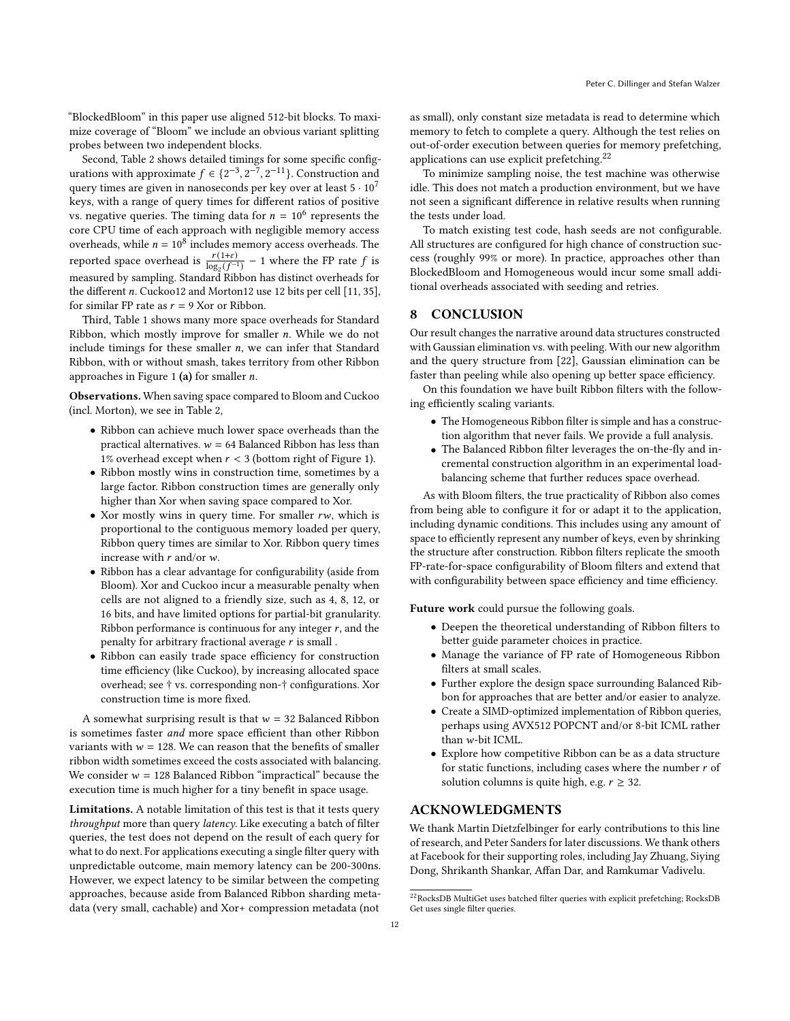"BlockedBloom" in this paper use aligned 512-bit blocks. To maximize coverage of "Bloom" we include an obvious variant splitting probes between two independent blocks.

Second, Table [2](#page-10-1) shows detailed timings for some specific configurations with approximate  $f \in \{2^{-3}, 2^{-7}, 2^{-11}\}$ . Construction and query times are given in nanoseconds per key over at least  $5\cdot 10^7$ keys, with a range of query times for different ratios of positive vs. negative queries. The timing data for  $n = 10^6$  represents the core CPU time of each approach with negligible memory access overheads, while  $n = 10^8$  includes memory access overheads. The reported space overhead is  $\frac{r(1+\epsilon)}{\log_2(f^{-1})} - 1$  where the FP rate f is measured by sampling. Standard Ribbon has distinct overheads for the different  $n$ . Cuckoo12 and Morton12 use 12 bits per cell [\[11,](#page-12-7) [35\]](#page-12-2), for similar FP rate as  $r = 9$  Xor or Ribbon.

Third, Table [1](#page-9-1) shows many more space overheads for Standard Ribbon, which mostly improve for smaller  $n$ . While we do not include timings for these smaller  $n$ , we can infer that Standard Ribbon, with or without smash, takes territory from other Ribbon approaches in Figure [1](#page-1-0) (a) for smaller  $n$ .

Observations. When saving space compared to Bloom and Cuckoo (incl. Morton), we see in Table [2,](#page-10-1)

- Ribbon can achieve much lower space overheads than the practical alternatives.  $w = 64$  Balanced Ribbon has less than 1% overhead except when  $r < 3$  (bottom right of Figure [1\)](#page-1-0).
- Ribbon mostly wins in construction time, sometimes by a large factor. Ribbon construction times are generally only higher than Xor when saving space compared to Xor.
- Xor mostly wins in query time. For smaller  $rw$ , which is proportional to the contiguous memory loaded per query, Ribbon query times are similar to Xor. Ribbon query times increase with  $r$  and/or  $w$ .
- Ribbon has a clear advantage for configurability (aside from Bloom). Xor and Cuckoo incur a measurable penalty when cells are not aligned to a friendly size, such as 4, 8, 12, or 16 bits, and have limited options for partial-bit granularity. Ribbon performance is continuous for any integer  $r$ , and the penalty for arbitrary fractional average  $r$  is small .
- Ribbon can easily trade space efficiency for construction time efficiency (like Cuckoo), by increasing allocated space overhead; see † vs. corresponding non-† configurations. Xor construction time is more fixed.

A somewhat surprising result is that  $w = 32$  Balanced Ribbon is sometimes faster and more space efficient than other Ribbon variants with  $w = 128$ . We can reason that the benefits of smaller ribbon width sometimes exceed the costs associated with balancing. We consider  $w = 128$  Balanced Ribbon "impractical" because the execution time is much higher for a tiny benefit in space usage.

Limitations. A notable limitation of this test is that it tests query throughput more than query latency. Like executing a batch of filter queries, the test does not depend on the result of each query for what to do next. For applications executing a single filter query with unpredictable outcome, main memory latency can be 200-300ns. However, we expect latency to be similar between the competing approaches, because aside from Balanced Ribbon sharding metadata (very small, cachable) and Xor+ compression metadata (not

as small), only constant size metadata is read to determine which memory to fetch to complete a query. Although the test relies on out-of-order execution between queries for memory prefetching, applications can use explicit prefetching.<sup>[22](#page-11-0)</sup>

To minimize sampling noise, the test machine was otherwise idle. This does not match a production environment, but we have not seen a significant difference in relative results when running the tests under load.

To match existing test code, hash seeds are not configurable. All structures are configured for high chance of construction success (roughly 99% or more). In practice, approaches other than BlockedBloom and Homogeneous would incur some small additional overheads associated with seeding and retries.

# 8 CONCLUSION

Our result changes the narrative around data structures constructed with Gaussian elimination vs. with peeling. With our new algorithm and the query structure from [\[22\]](#page-12-21), Gaussian elimination can be faster than peeling while also opening up better space efficiency.

On this foundation we have built Ribbon filters with the following efficiently scaling variants.

- The Homogeneous Ribbon filter is simple and has a construction algorithm that never fails. We provide a full analysis.
- The Balanced Ribbon filter leverages the on-the-fly and incremental construction algorithm in an experimental loadbalancing scheme that further reduces space overhead.

As with Bloom filters, the true practicality of Ribbon also comes from being able to configure it for or adapt it to the application, including dynamic conditions. This includes using any amount of space to efficiently represent any number of keys, even by shrinking the structure after construction. Ribbon filters replicate the smooth FP-rate-for-space configurability of Bloom filters and extend that with configurability between space efficiency and time efficiency.

Future work could pursue the following goals.

- Deepen the theoretical understanding of Ribbon filters to better guide parameter choices in practice.
- Manage the variance of FP rate of Homogeneous Ribbon filters at small scales.
- Further explore the design space surrounding Balanced Ribbon for approaches that are better and/or easier to analyze.
- Create a SIMD-optimized implementation of Ribbon queries, perhaps using AVX512 POPCNT and/or 8-bit ICML rather than w-bit ICML.
- Explore how competitive Ribbon can be as a data structure for static functions, including cases where the number  $r$  of solution columns is quite high, e.g.  $r \geq 32$ .

## ACKNOWLEDGMENTS

We thank Martin Dietzfelbinger for early contributions to this line of research, and Peter Sanders for later discussions. We thank others at Facebook for their supporting roles, including Jay Zhuang, Siying Dong, Shrikanth Shankar, Affan Dar, and Ramkumar Vadivelu.

<span id="page-11-0"></span> $^{22}\rm{RocksDB}$  MultiGet uses batched filter queries with explicit prefetching; RocksDB Get uses single filter queries.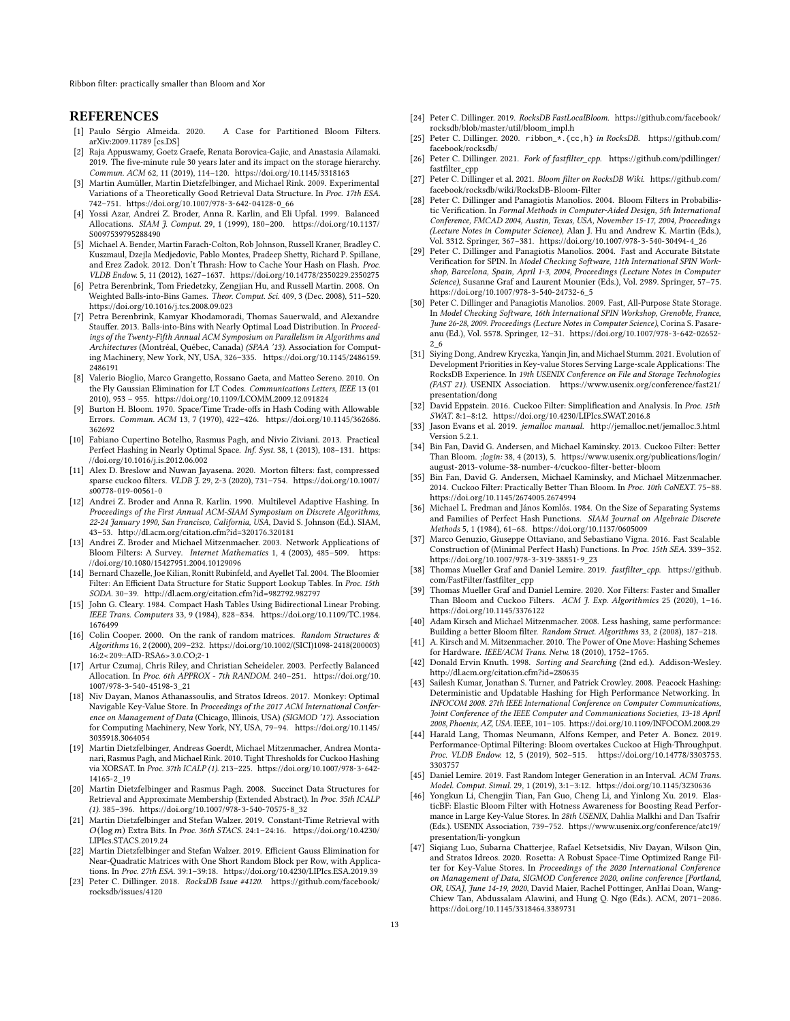Ribbon filter: practically smaller than Bloom and Xor

#### REFERENCES

- <span id="page-12-36"></span>[1] Paulo Sérgio Almeida. 2020. A Case for Partitioned Bloom Filters. arXiv[:2009.11789](https://arxiv.org/abs/2009.11789) [cs.DS]
- <span id="page-12-23"></span>[2] Raja Appuswamy, Goetz Graefe, Renata Borovica-Gajic, and Anastasia Ailamaki. 2019. The five-minute rule 30 years later and its impact on the storage hierarchy. Commun. ACM 62, 11 (2019), 114–120.<https://doi.org/10.1145/3318163>
- <span id="page-12-24"></span>[3] Martin Aumüller, Martin Dietzfelbinger, and Michael Rink. 2009. Experimental Variations of a Theoretically Good Retrieval Data Structure. In Proc. 17th ESA. 742–751. [https://doi.org/10.1007/978-3-642-04128-0\\_66](https://doi.org/10.1007/978-3-642-04128-0_66)
- <span id="page-12-40"></span>[4] Yossi Azar, Andrei Z. Broder, Anna R. Karlin, and Eli Upfal. 1999. Balanced Allocations. SIAM J. Comput. 29, 1 (1999), 180–200. [https://doi.org/10.1137/](https://doi.org/10.1137/S0097539795288490) [S0097539795288490](https://doi.org/10.1137/S0097539795288490)
- <span id="page-12-9"></span>[5] Michael A. Bender, Martin Farach-Colton, Rob Johnson, Russell Kraner, Bradley C. Kuszmaul, Dzejla Medjedovic, Pablo Montes, Pradeep Shetty, Richard P. Spillane, and Erez Zadok. 2012. Don't Thrash: How to Cache Your Hash on Flash. Proc. VLDB Endow. 5, 11 (2012), 1627–1637.<https://doi.org/10.14778/2350229.2350275>
- <span id="page-12-41"></span>[6] Petra Berenbrink, Tom Friedetzky, Zengjian Hu, and Russell Martin. 2008. On Weighted Balls-into-Bins Games. Theor. Comput. Sci. 409, 3 (Dec. 2008), 511–520. <https://doi.org/10.1016/j.tcs.2008.09.023>
- <span id="page-12-42"></span>[7] Petra Berenbrink, Kamyar Khodamoradi, Thomas Sauerwald, and Alexandre Stauffer. 2013. Balls-into-Bins with Nearly Optimal Load Distribution. In Proceedings of the Twenty-Fifth Annual ACM Symposium on Parallelism in Algorithms and Architectures (Montréal, Québec, Canada) (SPAA '13). Association for Computing Machinery, New York, NY, USA, 326–335. [https://doi.org/10.1145/2486159.](https://doi.org/10.1145/2486159.2486191) [2486191](https://doi.org/10.1145/2486159.2486191)
- <span id="page-12-26"></span>[8] Valerio Bioglio, Marco Grangetto, Rossano Gaeta, and Matteo Sereno. 2010. On the Fly Gaussian Elimination for LT Codes. Communications Letters, IEEE 13 (01 2010), 953 – 955.<https://doi.org/10.1109/LCOMM.2009.12.091824>
- <span id="page-12-0"></span>[9] Burton H. Bloom. 1970. Space/Time Trade-offs in Hash Coding with Allowable Errors. Commun. ACM 13, 7 (1970), 422–426. [https://doi.org/10.1145/362686.](https://doi.org/10.1145/362686.362692) [362692](https://doi.org/10.1145/362686.362692)
- <span id="page-12-16"></span>[10] Fabiano Cupertino Botelho, Rasmus Pagh, and Nivio Ziviani. 2013. Practical Perfect Hashing in Nearly Optimal Space. Inf. Syst. 38, 1 (2013), 108–131. [https:](https://doi.org/10.1016/j.is.2012.06.002) [//doi.org/10.1016/j.is.2012.06.002](https://doi.org/10.1016/j.is.2012.06.002)
- <span id="page-12-7"></span>[11] Alex D. Breslow and Nuwan Jayasena. 2020. Morton filters: fast, compressed sparse cuckoo filters. VLDB J. 29, 2-3 (2020), 731–754. [https://doi.org/10.1007/](https://doi.org/10.1007/s00778-019-00561-0) [s00778-019-00561-0](https://doi.org/10.1007/s00778-019-00561-0)
- <span id="page-12-44"></span>[12] Andrei Z. Broder and Anna R. Karlin. 1990. Multilevel Adaptive Hashing. In Proceedings of the First Annual ACM-SIAM Symposium on Discrete Algorithms, 22-24 January 1990, San Francisco, California, USA, David S. Johnson (Ed.). SIAM, 43–53.<http://dl.acm.org/citation.cfm?id=320176.320181>
- <span id="page-12-5"></span>[13] Andrei Z. Broder and Michael Mitzenmacher. 2003. Network Applications of Bloom Filters: A Survey. Internet Mathematics 1, 4 (2003), 485–509. [https:](https://doi.org/10.1080/15427951.2004.10129096) [//doi.org/10.1080/15427951.2004.10129096](https://doi.org/10.1080/15427951.2004.10129096)
- <span id="page-12-17"></span>[14] Bernard Chazelle, Joe Kilian, Ronitt Rubinfeld, and Ayellet Tal. 2004. The Bloomier Filter: An Efficient Data Structure for Static Support Lookup Tables. In Proc. 15th SODA. 30–39.<http://dl.acm.org/citation.cfm?id=982792.982797>
- <span id="page-12-10"></span>[15] John G. Cleary. 1984. Compact Hash Tables Using Bidirectional Linear Probing. IEEE Trans. Computers 33, 9 (1984), 828–834. [https://doi.org/10.1109/TC.1984.](https://doi.org/10.1109/TC.1984.1676499) [1676499](https://doi.org/10.1109/TC.1984.1676499)
- <span id="page-12-27"></span>[16] Colin Cooper. 2000. On the rank of random matrices. Random Structures & Algorithms 16, 2 (2000), 209–232. [https://doi.org/10.1002/\(SICI\)1098-2418\(200003\)](https://doi.org/10.1002/(SICI)1098-2418(200003)16:2<209::AID-RSA6>3.0.CO;2-1) [16:2<209::AID-RSA6>3.0.CO;2-1](https://doi.org/10.1002/(SICI)1098-2418(200003)16:2<209::AID-RSA6>3.0.CO;2-1)
- <span id="page-12-43"></span>Artur Czumaj, Chris Riley, and Christian Scheideler. 2003. Perfectly Balanced Allocation. In Proc. 6th APPROX - 7th RANDOM. 240–251. [https://doi.org/10.](https://doi.org/10.1007/978-3-540-45198-3_21) [1007/978-3-540-45198-3\\_21](https://doi.org/10.1007/978-3-540-45198-3_21)
- <span id="page-12-6"></span>[18] Niv Dayan, Manos Athanassoulis, and Stratos Idreos. 2017. Monkey: Optimal Navigable Key-Value Store. In Proceedings of the 2017 ACM International Conference on Management of Data (Chicago, Illinois, USA) (SIGMOD '17). Association for Computing Machinery, New York, NY, USA, 79–94. [https://doi.org/10.1145/](https://doi.org/10.1145/3035918.3064054) [3035918.3064054](https://doi.org/10.1145/3035918.3064054)
- <span id="page-12-25"></span>[19] Martin Dietzfelbinger, Andreas Goerdt, Michael Mitzenmacher, Andrea Montanari, Rasmus Pagh, and Michael Rink. 2010. Tight Thresholds for Cuckoo Hashing via XORSAT. In Proc. 37th ICALP (1). 213–225. [https://doi.org/10.1007/978-3-642-](https://doi.org/10.1007/978-3-642-14165-2_19) [14165-2\\_19](https://doi.org/10.1007/978-3-642-14165-2_19)
- <span id="page-12-18"></span>[20] Martin Dietzfelbinger and Rasmus Pagh. 2008. Succinct Data Structures for Retrieval and Approximate Membership (Extended Abstract). In Proc. 35th ICALP (1). 385–396. [https://doi.org/10.1007/978-3-540-70575-8\\_32](https://doi.org/10.1007/978-3-540-70575-8_32)
- <span id="page-12-20"></span>[21] Martin Dietzfelbinger and Stefan Walzer. 2019. Constant-Time Retrieval with  $O(log\,m)$  Extra Bits. In Proc. 36th STACS. 24:1-24:16. [https://doi.org/10.4230/](https://doi.org/10.4230/LIPIcs.STACS.2019.24) [LIPIcs.STACS.2019.24](https://doi.org/10.4230/LIPIcs.STACS.2019.24)
- <span id="page-12-21"></span>[22] Martin Dietzfelbinger and Stefan Walzer. 2019. Efficient Gauss Elimination for Near-Quadratic Matrices with One Short Random Block per Row, with Applications. In Proc. 27th ESA. 39:1–39:18.<https://doi.org/10.4230/LIPIcs.ESA.2019.39>
- <span id="page-12-37"></span>[23] Peter C. Dillinger. 2018. RocksDB Issue #4120. [https://github.com/facebook/](https://github.com/facebook/rocksdb/issues/4120) [rocksdb/issues/4120](https://github.com/facebook/rocksdb/issues/4120)
- <span id="page-12-13"></span>[24] Peter C. Dillinger. 2019. RocksDB FastLocalBloom. [https://github.com/facebook/](https://github.com/facebook/rocksdb/blob/master/util/bloom_impl.h) [rocksdb/blob/master/util/bloom\\_impl.h](https://github.com/facebook/rocksdb/blob/master/util/bloom_impl.h)
- <span id="page-12-35"></span>[25] Peter C. Dillinger. 2020. ribbon\_\*.{cc,h} in RocksDB. [https://github.com/](https://github.com/facebook/rocksdb/) [facebook/rocksdb/](https://github.com/facebook/rocksdb/)
- <span id="page-12-39"></span>[26] Peter C. Dillinger. 2021. Fork of fastfilter\_cpp. [https://github.com/pdillinger/](https://github.com/pdillinger/fastfilter_cpp) [fastfilter\\_cpp](https://github.com/pdillinger/fastfilter_cpp)
- <span id="page-12-29"></span>[27] Peter C. Dillinger et al. 2021. Bloom filter on RocksDB Wiki. [https://github.com/](https://github.com/facebook/rocksdb/wiki/RocksDB-Bloom-Filter) [facebook/rocksdb/wiki/RocksDB-Bloom-Filter](https://github.com/facebook/rocksdb/wiki/RocksDB-Bloom-Filter)
- <span id="page-12-31"></span>[28] Peter C. Dillinger and Panagiotis Manolios. 2004. Bloom Filters in Probabilistic Verification. In Formal Methods in Computer-Aided Design, 5th International Conference, FMCAD 2004, Austin, Texas, USA, November 15-17, 2004, Proceedings (Lecture Notes in Computer Science), Alan J. Hu and Andrew K. Martin (Eds.), Vol. 3312. Springer, 367–381. [https://doi.org/10.1007/978-3-540-30494-4\\_26](https://doi.org/10.1007/978-3-540-30494-4_26)
- <span id="page-12-32"></span>[29] Peter C. Dillinger and Panagiotis Manolios. 2004. Fast and Accurate Bitstate Verification for SPIN. In Model Checking Software, 11th International SPIN Workshop, Barcelona, Spain, April 1-3, 2004, Proceedings (Lecture Notes in Computer Science), Susanne Graf and Laurent Mounier (Eds.), Vol. 2989. Springer, 57–75. [https://doi.org/10.1007/978-3-540-24732-6\\_5](https://doi.org/10.1007/978-3-540-24732-6_5)
- <span id="page-12-11"></span>[30] Peter C. Dillinger and Panagiotis Manolios. 2009. Fast, All-Purpose State Storage. In Model Checking Software, 16th International SPIN Workshop, Grenoble, France, June 26-28, 2009. Proceedings (Lecture Notes in Computer Science), Corina S. Pasareanu (Ed.), Vol. 5578. Springer, 12–31. [https://doi.org/10.1007/978-3-642-02652-](https://doi.org/10.1007/978-3-642-02652-2_6) [2\\_6](https://doi.org/10.1007/978-3-642-02652-2_6)
- <span id="page-12-14"></span>[31] Siying Dong, Andrew Kryczka, Yanqin Jin, and Michael Stumm. 2021. Evolution of Development Priorities in Key-value Stores Serving Large-scale Applications: The RocksDB Experience. In 19th USENIX Conference on File and Storage Technologies (FAST 21). USENIX Association. [https://www.usenix.org/conference/fast21/](https://www.usenix.org/conference/fast21/presentation/dong) [presentation/dong](https://www.usenix.org/conference/fast21/presentation/dong)
- <span id="page-12-8"></span>[32] David Eppstein. 2016. Cuckoo Filter: Simplification and Analysis. In Proc. 15th SWAT. 8:1–8:12.<https://doi.org/10.4230/LIPIcs.SWAT.2016.8>
- <span id="page-12-28"></span>[33] Jason Evans et al. 2019. jemalloc manual.<http://jemalloc.net/jemalloc.3.html> Version 5.2.1.
- <span id="page-12-1"></span>[34] Bin Fan, David G. Andersen, and Michael Kaminsky. 2013. Cuckoo Filter: Better Than Bloom. ;login: 38, 4 (2013), 5. [https://www.usenix.org/publications/login/](https://www.usenix.org/publications/login/august-2013-volume-38-number-4/cuckoo-filter-better-bloom) [august-2013-volume-38-number-4/cuckoo-filter-better-bloom](https://www.usenix.org/publications/login/august-2013-volume-38-number-4/cuckoo-filter-better-bloom)
- <span id="page-12-2"></span>[35] Bin Fan, David G. Andersen, Michael Kaminsky, and Michael Mitzenmacher. 2014. Cuckoo Filter: Practically Better Than Bloom. In Proc. 10th CoNEXT. 75–88. <https://doi.org/10.1145/2674005.2674994>
- <span id="page-12-15"></span>[36] Michael L. Fredman and János Komlós. 1984. On the Size of Separating Systems and Families of Perfect Hash Functions. SIAM Journal on Algebraic Discrete Methods 5, 1 (1984), 61–68.<https://doi.org/10.1137/0605009>
- <span id="page-12-19"></span>[37] Marco Genuzio, Giuseppe Ottaviano, and Sebastiano Vigna. 2016. Fast Scalable Construction of (Minimal Perfect Hash) Functions. In Proc. 15th SEA. 339–352. [https://doi.org/10.1007/978-3-319-38851-9\\_23](https://doi.org/10.1007/978-3-319-38851-9_23)
- <span id="page-12-22"></span>[38] Thomas Mueller Graf and Daniel Lemire. 2019. fastfilter cpp. [https://github.](https://github.com/FastFilter/fastfilter_cpp) [com/FastFilter/fastfilter\\_cpp](https://github.com/FastFilter/fastfilter_cpp)
- <span id="page-12-3"></span>[39] Thomas Mueller Graf and Daniel Lemire. 2020. Xor Filters: Faster and Smaller Than Bloom and Cuckoo Filters. ACM J. Exp. Algorithmics 25 (2020), 1–16. <https://doi.org/10.1145/3376122>
- <span id="page-12-38"></span>[40] Adam Kirsch and Michael Mitzenmacher. 2008. Less hashing, same performance: Building a better Bloom filter. Random Struct. Algorithms 33, 2 (2008), 187–218.
- <span id="page-12-45"></span>[41] A. Kirsch and M. Mitzenmacher. 2010. The Power of One Move: Hashing Schemes for Hardware. IEEE/ACM Trans. Netw. 18 (2010), 1752–1765.
- <span id="page-12-34"></span>[42] Donald Ervin Knuth. 1998. Sorting and Searching (2nd ed.). Addison-Wesley. <http://dl.acm.org/citation.cfm?id=280635>
- <span id="page-12-46"></span>[43] Sailesh Kumar, Jonathan S. Turner, and Patrick Crowley. 2008. Peacock Hashing: Deterministic and Updatable Hashing for High Performance Networking. In INFOCOM 2008. 27th IEEE International Conference on Computer Communications, Joint Conference of the IEEE Computer and Communications Societies, 13-18 April 2008, Phoenix, AZ, USA. IEEE, 101–105.<https://doi.org/10.1109/INFOCOM.2008.29>
- <span id="page-12-4"></span>[44] Harald Lang, Thomas Neumann, Alfons Kemper, and Peter A. Boncz. 2019. Performance-Optimal Filtering: Bloom overtakes Cuckoo at High-Throughput. Proc. VLDB Endow. 12, 5 (2019), 502–515. [https://doi.org/10.14778/3303753.](https://doi.org/10.14778/3303753.3303757) [3303757](https://doi.org/10.14778/3303753.3303757)
- <span id="page-12-33"></span>[45] Daniel Lemire. 2019. Fast Random Integer Generation in an Interval. ACM Trans. Model. Comput. Simul. 29, 1 (2019), 3:1–3:12.<https://doi.org/10.1145/3230636>
- <span id="page-12-30"></span>[46] Yongkun Li, Chengjin Tian, Fan Guo, Cheng Li, and Yinlong Xu. 2019. ElasticBF: Elastic Bloom Filter with Hotness Awareness for Boosting Read Performance in Large Key-Value Stores. In 28th USENIX, Dahlia Malkhi and Dan Tsafrir (Eds.). USENIX Association, 739–752. [https://www.usenix.org/conference/atc19/](https://www.usenix.org/conference/atc19/presentation/li-yongkun) [presentation/li-yongkun](https://www.usenix.org/conference/atc19/presentation/li-yongkun)
- <span id="page-12-12"></span>[47] Siqiang Luo, Subarna Chatterjee, Rafael Ketsetsidis, Niv Dayan, Wilson Qin, and Stratos Idreos. 2020. Rosetta: A Robust Space-Time Optimized Range Filter for Key-Value Stores. In Proceedings of the 2020 International Conference on Management of Data, SIGMOD Conference 2020, online conference [Portland, OR, USA], June 14-19, 2020, David Maier, Rachel Pottinger, AnHai Doan, Wang-Chiew Tan, Abdussalam Alawini, and Hung Q. Ngo (Eds.). ACM, 2071–2086. <https://doi.org/10.1145/3318464.3389731>